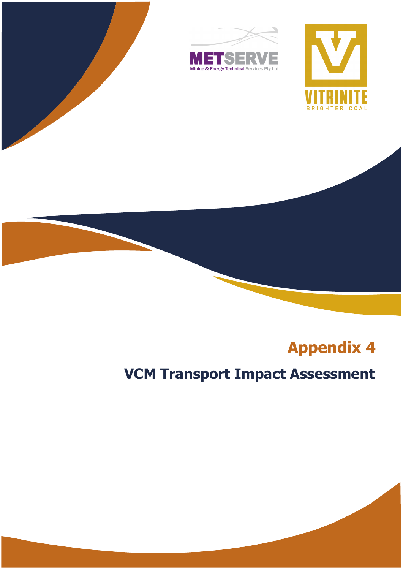

## **Appendix 4**

# **VCM Transport Impact Assessment**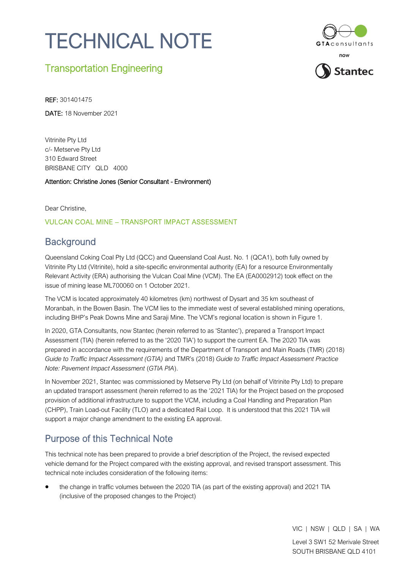# TECHNICAL NOTE



## Transportation Engineering

REF: 301401475

DATE: 18 November 2021

Vitrinite Pty Ltd c/- Metserve Pty Ltd 310 Edward Street BRISBANE CITY QLD 4000

Attention: Christine Jones (Senior Consultant - Environment)

Dear Christine,

#### VULCAN COAL MINE – TRANSPORT IMPACT ASSESSMENT

## **Background**

Queensland Coking Coal Pty Ltd (QCC) and Queensland Coal Aust. No. 1 (QCA1), both fully owned by Vitrinite Pty Ltd (Vitrinite), hold a site-specific environmental authority (EA) for a resource Environmentally Relevant Activity (ERA) authorising the Vulcan Coal Mine (VCM). The EA (EA0002912) took effect on the issue of mining lease ML700060 on 1 October 2021.

The VCM is located approximately 40 kilometres (km) northwest of Dysart and 35 km southeast of Moranbah, in the Bowen Basin. The VCM lies to the immediate west of several established mining operations, including BHP's Peak Downs Mine and Saraji Mine. The VCM's regional location is shown in [Figure 1.](#page-2-0)

In 2020, GTA Consultants, now Stantec (herein referred to as 'Stantec'), prepared a Transport Impact Assessment (TIA) (herein referred to as the '2020 TIA') to support the current EA. The 2020 TIA was prepared in accordance with the requirements of the Department of Transport and Main Roads (TMR) (2018) *Guide to Traffic Impact Assessment (GTIA)* and TMR's (2018) *Guide to Traffic Impact Assessment Practice Note: Pavement Impact Assessment* (*GTIA PIA*).

In November 2021, Stantec was commissioned by Metserve Pty Ltd (on behalf of Vitrinite Pty Ltd) to prepare an updated transport assessment (herein referred to as the '2021 TIA) for the Project based on the proposed provision of additional infrastructure to support the VCM, including a Coal Handling and Preparation Plan (CHPP), Train Load-out Facility (TLO) and a dedicated Rail Loop. It is understood that this 2021 TIA will support a major change amendment to the existing EA approval.

## Purpose of this Technical Note

This technical note has been prepared to provide a brief description of the Project, the revised expected vehicle demand for the Project compared with the existing approval, and revised transport assessment. This technical note includes consideration of the following items:

• the change in traffic volumes between the 2020 TIA (as part of the existing approval) and 2021 TIA (inclusive of the proposed changes to the Project)

VIC | NSW | QLD | SA | WA

Level 3 SW1 52 Merivale Street SOUTH BRISBANE QLD 4101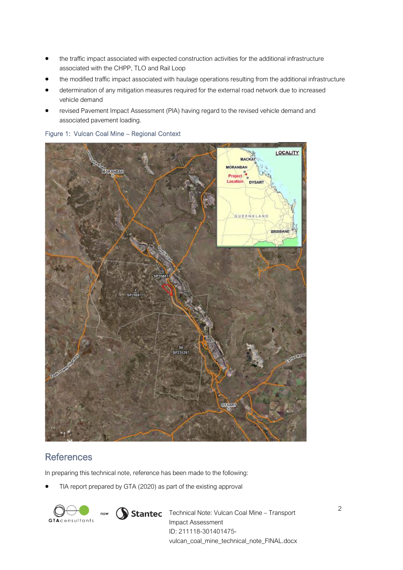- the traffic impact associated with expected construction activities for the additional infrastructure associated with the CHPP, TLO and Rail Loop
- the modified traffic impact associated with haulage operations resulting from the additional infrastructure
- determination of any mitigation measures required for the external road network due to increased vehicle demand
- revised Pavement Impact Assessment (PIA) having regard to the revised vehicle demand and associated pavement loading.



<span id="page-2-0"></span>Figure 1: Vulcan Coal Mine – Regional Context

## **References**

In preparing this technical note, reference has been made to the following:

• TIA report prepared by GTA (2020) as part of the existing approval



now

**Stantec** Technical Note: Vulcan Coal Mine – Transport Impact Assessment ID: 211118-301401475 vulcan\_coal\_mine\_technical\_note\_FINAL.docx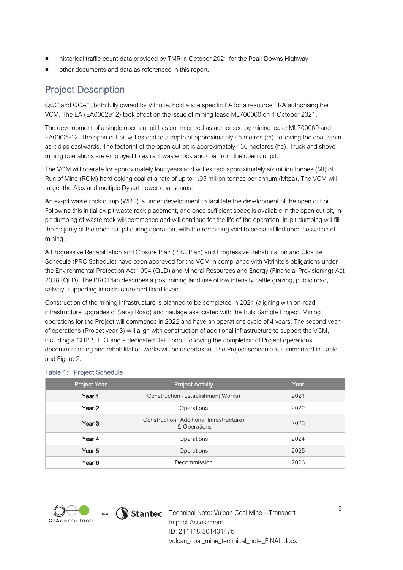- historical traffic count data provided by TMR in October 2021 for the Peak Downs Highway
- other documents and data as referenced in this report.

## Project Description

QCC and QCA1, both fully owned by Vitrinite, hold a site specific EA for a resource ERA authorising the VCM. The EA (EA0002912) took effect on the issue of mining lease ML700060 on 1 October 2021.

The development of a single open cut pit has commenced as authorised by mining lease ML700060 and EA0002912. The open cut pit will extend to a depth of approximately 45 metres (m), following the coal seam as it dips eastwards. The footprint of the open cut pit is approximately 136 hectares (ha). Truck and shovel mining operations are employed to extract waste rock and coal from the open cut pit.

The VCM will operate for approximately four years and will extract approximately six million tonnes (Mt) of Run of Mine (ROM) hard coking coal at a rate of up to 1.95 million tonnes per annum (Mtpa). The VCM will target the Alex and multiple Dysart Lower coal seams.

An ex-pit waste rock dump (WRD) is under development to facilitate the development of the open cut pit. Following this initial ex-pit waste rock placement, and once sufficient space is available in the open cut pit, inpit dumping of waste rock will commence and will continue for the life of the operation. In-pit dumping will fill the majority of the open cut pit during operation, with the remaining void to be backfilled upon cessation of mining.

A Progressive Rehabilitation and Closure Plan (PRC Plan) and Progressive Rehabilitation and Closure Schedule (PRC Schedule) have been approved for the VCM in compliance with Vitrinite's obligations under the Environmental Protection Act 1994 (QLD) and Mineral Resources and Energy (Financial Provisioning) Act 2018 (QLD). The PRC Plan describes a post mining land use of low intensity cattle grazing, public road, railway, supporting infrastructure and flood levee.

Construction of the mining infrastructure is planned to be completed in 2021 (aligning with on-road infrastructure upgrades of Saraji Road) and haulage associated with the Bulk Sample Project. Mining operations for the Project will commence in 2022 and have an operations cycle of 4 years. The second year of operations (Project year 3) will align with construction of additional infrastructure to support the VCM, including a CHPP, TLO and a dedicated Rail Loop. Following the completion of Project operations, decommissioning and rehabilitation works will be undertaken. The Project schedule is summarised in [Table 1](#page-3-0) and [Figure 2.](#page-4-0)

| Project Year      | <b>Project Activity</b>                                  | Year |
|-------------------|----------------------------------------------------------|------|
| Year 1            | Construction (Establishment Works)                       | 2021 |
| Year <sub>2</sub> | Operations                                               | 2022 |
| Year 3            | Construction (Additional Infrastructure)<br>& Operations | 2023 |
| Year 4            | Operations                                               | 2024 |
| Year 5            | Operations                                               | 2025 |
| Year 6            | Decommission                                             | 2026 |

#### <span id="page-3-0"></span>Table 1: Project Schedule



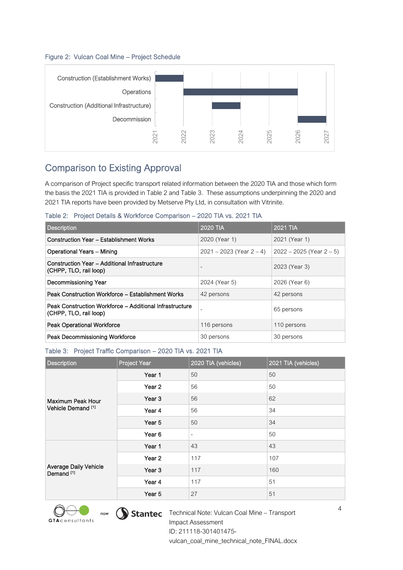#### <span id="page-4-0"></span>Figure 2: Vulcan Coal Mine – Project Schedule



## Comparison to Existing Approval

<span id="page-4-1"></span>Table 2: Project Details & Workforce Comparison – 2020 TIA vs. 2021 TIA

| <b>Description</b>                                                                | <b>2020 TIA</b>               | 2021 TIA                      |
|-----------------------------------------------------------------------------------|-------------------------------|-------------------------------|
| <b>Construction Year - Establishment Works</b>                                    | 2020 (Year 1)                 | 2021 (Year 1)                 |
| Operational Years - Mining                                                        | $2021 - 2023$ (Year $2 - 4$ ) | $2022 - 2025$ (Year $2 - 5$ ) |
| Construction Year - Additional Infrastructure<br>(CHPP, TLO, rail loop)           |                               | 2023 (Year 3)                 |
| Decommissioning Year                                                              | 2024 (Year 5)                 | 2026 (Year 6)                 |
| Peak Construction Workforce - Establishment Works                                 | 42 persons                    | 42 persons                    |
| Peak Construction Workforce - Additional Infrastructure<br>(CHPP, TLO, rail loop) |                               | 65 persons                    |
| <b>Peak Operational Workforce</b>                                                 | 116 persons                   | 110 persons                   |
| Peak Decommissioning Workforce                                                    | 30 persons                    | 30 persons                    |

#### <span id="page-4-2"></span>Table 3: Project Traffic Comparison – 2020 TIA vs. 2021 TIA

|                                                                                                                                                                                                                                                                                                                | 202               | 2022            |                                            | 2024                          | 2025     | 2026                          | 2027 |
|----------------------------------------------------------------------------------------------------------------------------------------------------------------------------------------------------------------------------------------------------------------------------------------------------------------|-------------------|-----------------|--------------------------------------------|-------------------------------|----------|-------------------------------|------|
| <b>Comparison to Existing Approval</b>                                                                                                                                                                                                                                                                         |                   |                 |                                            |                               |          |                               |      |
| A comparison of Project specific transport related information between the 2020 TIA and those which form<br>the basis the 2021 TIA is provided in Table 2 and Table 3. These assumptions underpinning the 2020 and<br>2021 TIA reports have been provided by Metserve Pty Ltd, in consultation with Vitrinite. |                   |                 |                                            |                               |          |                               |      |
| Table 2: Project Details & Workforce Comparison - 2020 TIA vs. 2021 TIA                                                                                                                                                                                                                                        |                   |                 |                                            |                               |          |                               |      |
| <b>Description</b>                                                                                                                                                                                                                                                                                             |                   | <b>2020 TIA</b> |                                            |                               | 2021 TIA |                               |      |
| <b>Construction Year - Establishment Works</b>                                                                                                                                                                                                                                                                 |                   |                 | 2020 (Year 1)                              |                               |          | 2021 (Year 1)                 |      |
| <b>Operational Years - Mining</b>                                                                                                                                                                                                                                                                              |                   |                 |                                            | $2021 - 2023$ (Year $2 - 4$ ) |          | $2022 - 2025$ (Year $2 - 5$ ) |      |
| <b>Construction Year - Additional Infrastructure</b><br>(CHPP, TLO, rail loop)                                                                                                                                                                                                                                 |                   |                 |                                            |                               |          | 2023 (Year 3)                 |      |
| Decommissioning Year                                                                                                                                                                                                                                                                                           |                   |                 | 2024 (Year 5)                              |                               |          | 2026 (Year 6)                 |      |
| Peak Construction Workforce - Establishment Works                                                                                                                                                                                                                                                              |                   |                 | 42 persons                                 |                               |          | 42 persons                    |      |
| Peak Construction Workforce - Additional Infrastructure<br>(CHPP, TLO, rail loop)                                                                                                                                                                                                                              |                   |                 |                                            |                               |          | 65 persons                    |      |
| <b>Peak Operational Workforce</b>                                                                                                                                                                                                                                                                              |                   |                 | 116 persons                                |                               |          | 110 persons                   |      |
| Peak Decommissioning Workforce                                                                                                                                                                                                                                                                                 |                   |                 | 30 persons                                 |                               |          | 30 persons                    |      |
| Table 3: Project Traffic Comparison - 2020 TIA vs. 2021 TIA                                                                                                                                                                                                                                                    |                   |                 |                                            |                               |          |                               |      |
| <b>Description</b>                                                                                                                                                                                                                                                                                             | Project Year      |                 | 2020 TIA (vehicles)<br>2021 TIA (vehicles) |                               |          |                               |      |
|                                                                                                                                                                                                                                                                                                                | Year 1            | 50              |                                            |                               | 50       |                               |      |
|                                                                                                                                                                                                                                                                                                                | Year 2            | 56              |                                            |                               | 50       |                               |      |
| Maximum Peak Hour                                                                                                                                                                                                                                                                                              | Year <sub>3</sub> | 56              |                                            |                               | 62       |                               |      |
| Vehicle Demand <sup>[1]</sup><br>Year 4<br>56                                                                                                                                                                                                                                                                  |                   |                 |                                            | 34                            |          |                               |      |
| Year 5                                                                                                                                                                                                                                                                                                         |                   | 50              |                                            | 34                            |          |                               |      |
|                                                                                                                                                                                                                                                                                                                | Year 6            |                 |                                            |                               | 50       |                               |      |
|                                                                                                                                                                                                                                                                                                                | Year 1            | 43              |                                            |                               | 43       |                               |      |
|                                                                                                                                                                                                                                                                                                                | Year <sub>2</sub> |                 | 117                                        |                               | 107      |                               |      |
| Average Daily Vehicle<br>Demand <sup>[1]</sup>                                                                                                                                                                                                                                                                 | Year 3            | 117             |                                            |                               | 160      |                               |      |
|                                                                                                                                                                                                                                                                                                                | Year 4            | 117             |                                            |                               | 51       |                               |      |
| Year 5                                                                                                                                                                                                                                                                                                         |                   |                 | 27                                         |                               | 51       |                               |      |



now  $\bigcirc$  Stantec Technical Note: Vulcan Coal Mine – Transport Impact Assessment ID: 211118-301401475 vulcan\_coal\_mine\_technical\_note\_FINAL.docx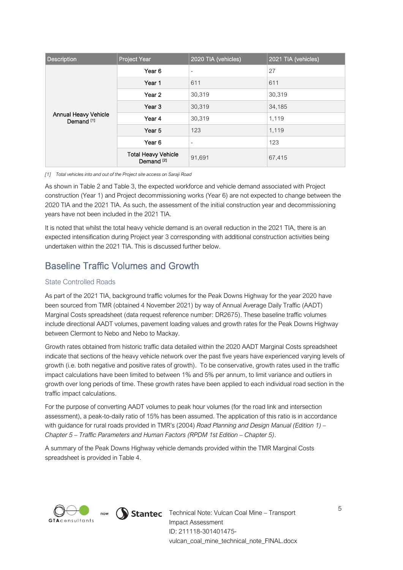| <b>Description</b>                            | Project Year                                        | 2020 TIA (vehicles) | 2021 TIA (vehicles) |
|-----------------------------------------------|-----------------------------------------------------|---------------------|---------------------|
|                                               | Year 6                                              | ٠                   | 27                  |
|                                               | Year 1                                              | 611                 | 611                 |
| Annual Heavy Vehicle<br>Demand <sup>[1]</sup> | Year 2                                              | 30,319              | 30,319              |
|                                               | Year <sub>3</sub>                                   | 30,319              | 34,185              |
|                                               | Year 4                                              | 30,319              | 1,119               |
|                                               | Year <sub>5</sub>                                   | 123                 | 1,119               |
|                                               | Year <sub>6</sub>                                   | ٠                   | 123                 |
|                                               | <b>Total Heavy Vehicle</b><br>Demand <sup>[2]</sup> | 91,691              | 67,415              |

#### *[1] Total vehicles into and out of the Project site access on Saraji Road*

As shown in [Table 2](#page-4-1) an[d Table 3,](#page-4-2) the expected workforce and vehicle demand associated with Project construction (Year 1) and Project decommissioning works (Year 6) are not expected to change between the 2020 TIA and the 2021 TIA. As such, the assessment of the initial construction year and decommissioning years have not been included in the 2021 TIA.

It is noted that whilst the total heavy vehicle demand is an overall reduction in the 2021 TIA, there is an expected intensification during Project year 3 corresponding with additional construction activities being undertaken within the 2021 TIA. This is discussed further below.

## Baseline Traffic Volumes and Growth

#### State Controlled Roads

As part of the 2021 TIA, background traffic volumes for the Peak Downs Highway for the year 2020 have been sourced from TMR (obtained 4 November 2021) by way of Annual Average Daily Traffic (AADT) Marginal Costs spreadsheet (data request reference number: DR2675). These baseline traffic volumes include directional AADT volumes, pavement loading values and growth rates for the Peak Downs Highway between Clermont to Nebo and Nebo to Mackay.

Growth rates obtained from historic traffic data detailed within the 2020 AADT Marginal Costs spreadsheet indicate that sections of the heavy vehicle network over the past five years have experienced varying levels of growth (i.e. both negative and positive rates of growth). To be conservative, growth rates used in the traffic impact calculations have been limited to between 1% and 5% per annum, to limit variance and outliers in growth over long periods of time. These growth rates have been applied to each individual road section in the traffic impact calculations.

For the purpose of converting AADT volumes to peak hour volumes (for the road link and intersection assessment), a peak-to-daily ratio of 15% has been assumed. The application of this ratio is in accordance with guidance for rural roads provided in TMR's (2004) *Road Planning and Design Manual (Edition 1) – Chapter 5 – Traffic Parameters and Human Factors (RPDM 1st Edition – Chapter 5)*.

A summary of the Peak Downs Highway vehicle demands provided within the TMR Marginal Costs spreadsheet is provided in [Table 4.](#page-6-0)





now  $\bigcirc$  Stantec Technical Note: Vulcan Coal Mine – Transport Impact Assessment ID: 211118-301401475 vulcan\_coal\_mine\_technical\_note\_FINAL.docx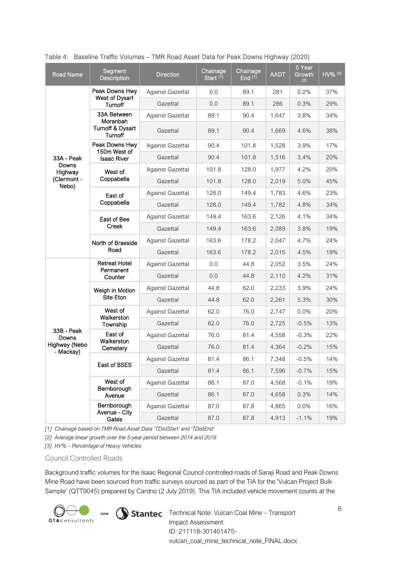| <b>Road Name</b>           | Segment<br><b>Description</b>           | <b>Direction</b>        | Chainage<br>Start <sup>[1]</sup> | Chainage<br>End <sup>[1]</sup> | <b>AADT</b> | 5 Year<br>Growth<br>[2] | HV% [3] |
|----------------------------|-----------------------------------------|-------------------------|----------------------------------|--------------------------------|-------------|-------------------------|---------|
|                            | Peak Downs Hwy                          | Against Gazettal        | 0.0                              | 89.1                           | 281         | 0.2%                    | 37%     |
|                            | West of Dysart<br>Turnoff               | Gazettal                | 0.0                              | 89.1                           | 286         | 0.3%                    | 29%     |
|                            | 33A Between                             | Against Gazettal        | 89.1                             | 90.4                           | 1,647       | 3.8%                    | 34%     |
|                            | Moranbah<br>Turnoff & Dysart<br>Turnoff | Gazettal                | 89.1                             | 90.4                           | 1,669       | 4.6%                    | 38%     |
|                            | Peak Downs Hwy<br>150m West of          | <b>Against Gazettal</b> | 90.4                             | 101.8                          | 1,528       | 3.9%                    | 17%     |
| 33A - Peak                 | <b>Isaac River</b>                      | Gazettal                | 90.4                             | 101.8                          | 1,516       | 3.4%                    | 20%     |
| Downs<br>Highway           | West of                                 | Against Gazettal        | 101.8                            | 128.0                          | 1,977       | 4.2%                    | 20%     |
| (Clermont -<br>Nebo)       | Coppabella                              | Gazettal                | 101.8                            | 128.0                          | 2,019       | 5.0%                    | 45%     |
|                            | East of                                 | Against Gazettal        | 128.0                            | 149.4                          | 1,783       | 4.6%                    | 23%     |
|                            | Coppabella                              | Gazettal                | 128.0                            | 149.4                          | 1,782       | 4.8%                    | 34%     |
|                            | East of Bee                             | <b>Against Gazettal</b> | 149.4                            | 163.6                          | 2,126       | 4.1%                    | 34%     |
| <b>Creek</b>               | Gazettal                                | 149.4                   | 163.6                            | 2,089                          | 3.8%        | 19%                     |         |
| North of Braeside          | Against Gazettal                        | 163.6                   | 178.2                            | 2,047                          | 4.7%        | 24%                     |         |
|                            | Road                                    | Gazettal                | 163.6                            | 178.2                          | 2,015       | 4.5%                    | 19%     |
|                            | <b>Retreat Hotel</b><br>Permanent       | Against Gazettal        | 0.0                              | 44.8                           | 2,052       | 3.5%                    | 24%     |
|                            | Counter                                 | Gazettal                | 0.0                              | 44.8                           | 2,110       | 4.2%                    | 31%     |
|                            | Weigh in Motion                         | <b>Against Gazettal</b> | 44.8                             | 62.0                           | 2,233       | 3.9%                    | 24%     |
| Site Eton                  | Gazettal                                | 44.8                    | 62.0                             | 2,261                          | 5.3%        | 30%                     |         |
|                            | West of<br>Walkerston                   | Against Gazettal        | 62.0                             | 76.0                           | 2,747       | 0.0%                    | 20%     |
|                            | Township                                | Gazettal                | 62.0                             | 76.0                           | 2,725       | $-0.5%$                 | 13%     |
| 33B - Peak<br>Downs        | East of                                 | Against Gazettal        | 76.0                             | 81.4                           | 4,558       | $-0.3%$                 | 22%     |
| Highway (Nebo<br>- Mackay) | Walkerston<br>Cemetery                  | Gazettal                | 76.0                             | 81.4                           | 4,364       | $-0.2%$                 | 15%     |
| East of BSES               | <b>Against Gazettal</b>                 | 81.4                    | 86.1                             | 7,348                          | $-0.5%$     | 14%                     |         |
|                            |                                         | Gazettal                | 81.4                             | 86.1                           | 7,596       | $-0.7%$                 | 15%     |
|                            | West of<br>Bernborough                  | Against Gazettal        | 86.1                             | 87.0                           | 4,568       | $-0.1%$                 | 19%     |
|                            | Avenue                                  | Gazettal                | 86.1                             | 87.0                           | 4,658       | 0.3%                    | 14%     |
|                            | Bernborough                             | <b>Against Gazettal</b> | 87.0                             | 87.8                           | 4,865       | 0.0%                    | 16%     |
| Avenue - City<br>Gates     | Gazettal                                | 87.0                    | 87.8                             | 4,913                          | $-1.1%$     | 19%                     |         |

#### <span id="page-6-0"></span>Table 4: Baseline Traffic Volumes – TMR Road Asset Data for Peak Downs Highway (2020)

*[1] Chainage based on TMR Road Asset Data 'TDistStart' and 'TDistEnd'*

*[2] Average linear growth over the 5-year period between 2014 and 2018*

*[3] HV% – Percentage of Heavy Vehicles*

#### Council Controlled Roads

Background traffic volumes for the Isaac Regional Council controlled roads of Saraji Road and Peak Downs Mine Road have been sourced from traffic surveys sourced as part of the TIA for the 'Vulcan Project Bulk Sample' (QTT9045) prepared by Cardno (2 July 2019). This TIA included vehicle movement counts at the



 $T_{\text{now}}$   $\bigcirc$  Stantec Technical Note: Vulcan Coal Mine – Transport Impact Assessment ID: 211118-301401475 vulcan\_coal\_mine\_technical\_note\_FINAL.docx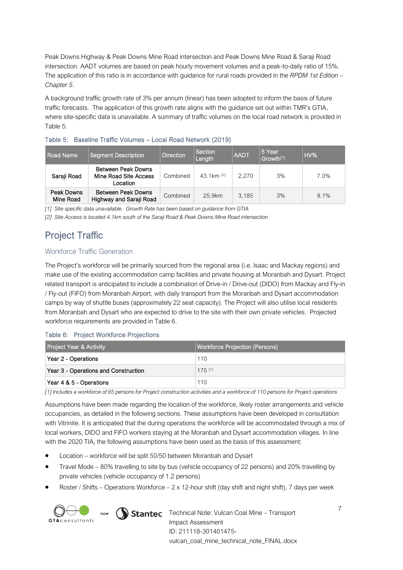Peak Downs Highway & Peak Downs Mine Road intersection and Peak Downs Mine Road & Saraji Road intersection. AADT volumes are based on peak hourly movement volumes and a peak-to-daily ratio of 15%. The application of this ratio is in accordance with guidance for rural roads provided in the *RPDM 1st Edition – Chapter 5*.

A background traffic growth rate of 3% per annum (linear) has been adopted to inform the basis of future traffic forecasts. The application of this growth rate aligns with the guidance set out within TMR's GTIA, where site-specific data is unavailable. A summary of traffic volumes on the local road network is provided in [Table 5.](#page-7-0)

| Road Name               | <b>Segment Description</b>                              | <b>Direction</b> | Section<br>Length        | <b>AADT</b> | 5 Year<br>Growth <sup>[1]</sup> | $HV\%$  |
|-------------------------|---------------------------------------------------------|------------------|--------------------------|-------------|---------------------------------|---------|
| Saraji Road             | Between Peak Downs<br>Mine Road Site Access<br>Location | Combined         | 43.1 $km$ <sup>[2]</sup> | 2.270       | 3%                              | 7.0%    |
| Peak Downs<br>Mine Road | Between Peak Downs<br>Highway and Saraji Road           | Combined         | 25.9km                   | 3,185       | 3%                              | $9.1\%$ |

<span id="page-7-0"></span>

*[1] Site specific data unavailable. Growth Rate has been based on guidance from GTIA*

*[2] Site Access is located 4.1km south of the Saraji Road & Peak Downs Mine Road intersection*

## Project Traffic

#### Workforce Traffic Generation

The Project's workforce will be primarily sourced from the regional area (i.e. Isaac and Mackay regions) and make use of the existing accommodation camp facilities and private housing at Moranbah and Dysart. Project related transport is anticipated to include a combination of Drive-in / Drive-out (DIDO) from Mackay and Fly-in / Fly-out (FIFO) from Moranbah Airport, with daily transport from the Moranbah and Dysart accommodation camps by way of shuttle buses (approximately 22 seat capacity). The Project will also utilise local residents from Moranbah and Dysart who are expected to drive to the site with their own private vehicles. Projected workforce requirements are provided i[n Table 6.](#page-7-1)

#### <span id="page-7-1"></span>Table 6: Project Workforce Projections

| <b>Project Year &amp; Activity</b>   | Workforce Projection (Persons) |
|--------------------------------------|--------------------------------|
| Year 2 - Operations                  | 110                            |
| Year 3 - Operations and Construction | $175$ [1]                      |
| Year 4 & 5 - Operations              | 110                            |

*[1] Includes a workforce of 65 persons for Project construction activities and a workforce of 110 persons for Project operations*

Assumptions have been made regarding the location of the workforce, likely roster arrangements and vehicle occupancies, as detailed in the following sections. These assumptions have been developed in consultation with Vitrinite. It is anticipated that the during operations the workforce will be accommodated through a mix of local workers, DIDO and FIFO workers staying at the Moranbah and Dysart accommodation villages. In line with the 2020 TIA, the following assumptions have been used as the basis of this assessment:

- Location workforce will be split 50/50 between Moranbah and Dysart
- Travel Mode 80% travelling to site by bus (vehicle occupancy of 22 persons) and 20% travelling by private vehicles (vehicle occupancy of 1.2 persons)
- Roster / Shifts Operations Workforce 2 x 12-hour shift (day shift and night shift), 7 days per week



 $T_{\text{now}}$   $\sum$  Stantec Technical Note: Vulcan Coal Mine – Transport Impact Assessment ID: 211118-301401475 vulcan\_coal\_mine\_technical\_note\_FINAL.docx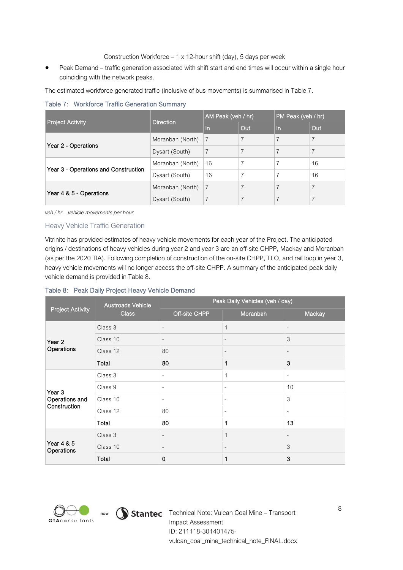Construction Workforce – 1 x 12-hour shift (day), 5 days per week

Peak Demand – traffic generation associated with shift start and end times will occur within a single hour coinciding with the network peaks.

The estimated workforce generated traffic (inclusive of bus movements) is summarised in [Table 7.](#page-8-0) 

<span id="page-8-0"></span>Table 7: Workforce Traffic Generation Summary

|                                      | <b>Direction</b> | AM Peak (veh / hr) |                | PM Peak (veh / hr) |                |
|--------------------------------------|------------------|--------------------|----------------|--------------------|----------------|
| <b>Project Activity</b>              |                  | In                 | Out            | In                 | Out            |
| Year 2 - Operations                  | Moranbah (North) | 7                  | $\overline{ }$ | $\overline{7}$     | $\overline{7}$ |
|                                      | Dysart (South)   | $\overline{7}$     | 7              |                    | $\overline{7}$ |
| Year 3 - Operations and Construction | Moranbah (North) | 16                 |                |                    | 16             |
|                                      | Dysart (South)   | 16                 |                |                    | 16             |
| Year 4 & 5 - Operations              | Moranbah (North) | 7                  | 7              | $\overline{7}$     | $\overline{7}$ |
|                                      | Dysart (South)   | $\overline{7}$     |                |                    |                |

*veh / hr – vehicle movements per hour*

#### Heavy Vehicle Traffic Generation

Vitrinite has provided estimates of heavy vehicle movements for each year of the Project. The anticipated origins / destinations of heavy vehicles during year 2 and year 3 are an off-site CHPP, Mackay and Moranbah (as per the 2020 TIA). Following completion of construction of the on-site CHPP, TLO, and rail loop in year 3, heavy vehicle movements will no longer access the off-site CHPP. A summary of the anticipated peak daily vehicle demand is provided in [Table 8.](#page-8-1)

#### <span id="page-8-1"></span>Table 8: Peak Daily Project Heavy Vehicle Demand

|                          | <b>Austroads Vehicle</b> |                          | Peak Daily Vehicles (veh / day) |                          |  |  |
|--------------------------|--------------------------|--------------------------|---------------------------------|--------------------------|--|--|
| <b>Project Activity</b>  | <b>Class</b>             | Off-site CHPP            | Moranbah                        | Mackay                   |  |  |
|                          | Class 3                  | $\overline{\phantom{a}}$ | $\mathbf{1}$                    | $\overline{\phantom{a}}$ |  |  |
| Year 2                   | Class 10                 | $\overline{\phantom{a}}$ | $\overline{\phantom{a}}$        | 3                        |  |  |
| Operations               | Class 12                 | 80                       | $\overline{\phantom{0}}$        | $\overline{\phantom{a}}$ |  |  |
|                          | Total                    | 80                       | 1                               | 3                        |  |  |
|                          | Class 3                  | $\overline{\phantom{a}}$ | 1                               | $\overline{\phantom{a}}$ |  |  |
| Year 3<br>Operations and | Class 9                  | $\sim$                   | $\overline{\phantom{a}}$        | 10                       |  |  |
|                          | Class 10                 | $\overline{\phantom{a}}$ | $\overline{\phantom{0}}$        | 3                        |  |  |
| Construction             | Class 12                 | 80                       | -                               | $\overline{\phantom{a}}$ |  |  |
|                          | Total                    | 80                       | 1                               | 13                       |  |  |
|                          | Class 3                  | $\overline{\phantom{a}}$ | 1                               | $\overline{\phantom{a}}$ |  |  |
| Year 4 & 5<br>Operations | Class 10                 | $\overline{\phantom{a}}$ | $\overline{\phantom{0}}$        | 3                        |  |  |
|                          | Total                    | $\mathbf 0$              | 1                               | 3                        |  |  |



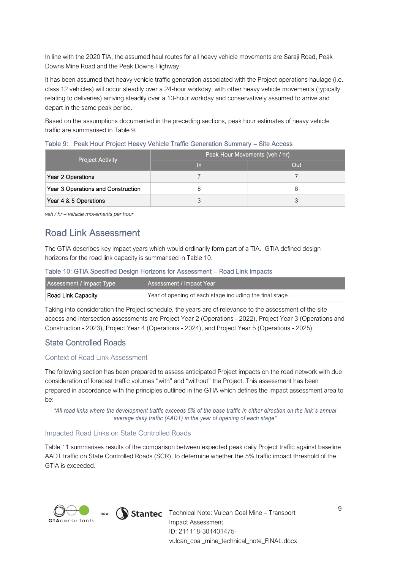In line with the 2020 TIA, the assumed haul routes for all heavy vehicle movements are Saraji Road, Peak Downs Mine Road and the Peak Downs Highway.

It has been assumed that heavy vehicle traffic generation associated with the Project operations haulage (i.e. class 12 vehicles) will occur steadily over a 24-hour workday, with other heavy vehicle movements (typically relating to deliveries) arriving steadily over a 10-hour workday and conservatively assumed to arrive and depart in the same peak period.

Based on the assumptions documented in the preceding sections, peak hour estimates of heavy vehicle traffic are summarised in [Table 9.](#page-9-0)

#### <span id="page-9-0"></span>Table 9: Peak Hour Project Heavy Vehicle Traffic Generation Summary – Site Access

| <b>Project Activity</b>            | Peak Hour Movements (veh / hr)' |     |  |  |
|------------------------------------|---------------------------------|-----|--|--|
|                                    | In                              | Out |  |  |
| Year 2 Operations                  |                                 |     |  |  |
| Year 3 Operations and Construction |                                 |     |  |  |
| Year 4 & 5 Operations              |                                 |     |  |  |

*veh / hr – vehicle movements per hour*

#### Road Link Assessment

The GTIA describes key impact years which would ordinarily form part of a TIA. GTIA defined design horizons for the road link capacity is summarised in [Table 10.](#page-9-1)

#### <span id="page-9-1"></span>Table 10: GTIA Specified Design Horizons for Assessment – Road Link Impacts

| Assessment / Impact Type | Assessment / Impact Year                                 |
|--------------------------|----------------------------------------------------------|
| Road Link Capacity       | Year of opening of each stage including the final stage. |

Taking into consideration the Project schedule, the years are of relevance to the assessment of the site access and intersection assessments are Project Year 2 (Operations - 2022), Project Year 3 (Operations and Construction - 2023), Project Year 4 (Operations - 2024), and Project Year 5 (Operations - 2025).

#### State Controlled Roads

#### Context of Road Link Assessment

The following section has been prepared to assess anticipated Project impacts on the road network with due consideration of forecast traffic volumes "with" and "without" the Project. This assessment has been prepared in accordance with the principles outlined in the GTIA which defines the impact assessment area to be:

*"All road links where the development traffic exceeds 5% of the base traffic in either direction on the link' s annual average daily traffic (AADT) in the year of opening of each stage"*

#### Impacted Road Links on State Controlled Roads

[Table 11](#page-10-0) summarises results of the comparison between expected peak daily Project traffic against baseline AADT traffic on State Controlled Roads (SCR), to determine whether the 5% traffic impact threshold of the GTIA is exceeded.



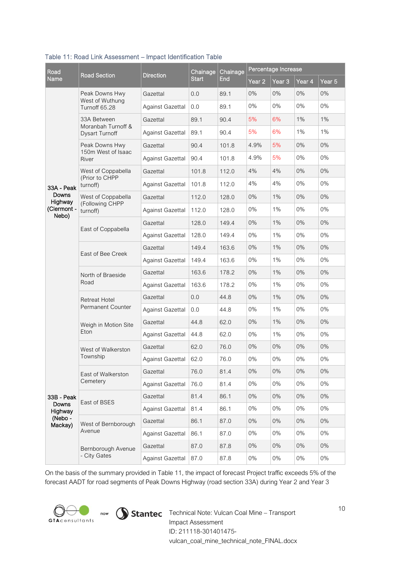| Road                   |                                                  |                         | Chainage     | Chainage | Percentage Increase |        |        |                   |
|------------------------|--------------------------------------------------|-------------------------|--------------|----------|---------------------|--------|--------|-------------------|
| Name                   | <b>Road Section</b>                              | <b>Direction</b>        | <b>Start</b> | End      | Year 2              | Year 3 | Year 4 | Year <sub>5</sub> |
|                        | Peak Downs Hwy                                   | Gazettal                | 0.0          | 89.1     | 0%                  | 0%     | 0%     | 0%                |
|                        | West of Wuthung<br>Turnoff 65.28                 | <b>Against Gazettal</b> | 0.0          | 89.1     | 0%                  | 0%     | 0%     | 0%                |
|                        | 33A Between                                      | Gazettal                | 89.1         | 90.4     | 5%                  | 6%     | 1%     | 1%                |
|                        | Moranbah Turnoff &<br><b>Dysart Turnoff</b>      | <b>Against Gazettal</b> | 89.1         | 90.4     | 5%                  | 6%     | $1\%$  | 1%                |
|                        | Peak Downs Hwy                                   | Gazettal                | 90.4         | 101.8    | 4.9%                | 5%     | 0%     | 0%                |
|                        | 150m West of Isaac<br>River                      | Against Gazettal        | 90.4         | 101.8    | 4.9%                | 5%     | 0%     | 0%                |
|                        | West of Coppabella                               | Gazettal                | 101.8        | 112.0    | 4%                  | 4%     | 0%     | 0%                |
| 33A - Peak             | (Prior to CHPP<br>turnoff)                       | <b>Against Gazettal</b> | 101.8        | 112.0    | 4%                  | 4%     | 0%     | 0%                |
| Downs                  | West of Coppabella                               | Gazettal                | 112.0        | 128.0    | 0%                  | 1%     | 0%     | 0%                |
| Highway<br>(Clermont - | (Following CHPP<br>turnoff)                      | <b>Against Gazettal</b> | 112.0        | 128.0    | 0%                  | 1%     | 0%     | 0%                |
| Nebo)                  |                                                  | Gazettal                | 128.0        | 149.4    | 0%                  | 1%     | 0%     | 0%                |
|                        | East of Coppabella                               | Against Gazettal        | 128.0        | 149.4    | 0%                  | 1%     | 0%     | 0%                |
|                        | East of Bee Creek                                | Gazettal                | 149.4        | 163.6    | 0%                  | 1%     | 0%     | 0%                |
|                        |                                                  | <b>Against Gazettal</b> | 149.4        | 163.6    | 0%                  | 1%     | 0%     | 0%                |
|                        | North of Braeside                                | Gazettal                | 163.6        | 178.2    | 0%                  | 1%     | 0%     | 0%                |
|                        | Road                                             | <b>Against Gazettal</b> | 163.6        | 178.2    | 0%                  | 1%     | 0%     | 0%                |
|                        | <b>Retreat Hotel</b><br><b>Permanent Counter</b> | Gazettal                | 0.0          | 44.8     | 0%                  | 1%     | 0%     | 0%                |
|                        |                                                  | <b>Against Gazettal</b> | 0.0          | 44.8     | 0%                  | 1%     | 0%     | 0%                |
|                        | Weigh in Motion Site                             | Gazettal                | 44.8         | 62.0     | 0%                  | 1%     | 0%     | 0%                |
|                        | Eton                                             | <b>Against Gazettal</b> | 44.8         | 62.0     | 0%                  | 1%     | 0%     | $0\%$             |
|                        | West of Walkerston                               | Gazettal                | 62.0         | 76.0     | $0\%$               | 0%     | 0%     | 0%                |
|                        | Township                                         | <b>Against Gazettal</b> | 62.0         | 76.0     | 0%                  | 0%     | 0%     | 0%                |
|                        | East of Walkerston                               | Gazettal                | 76.0         | 81.4     | $0\%$               | 0%     | $0\%$  | $0\%$             |
|                        | Cemetery                                         | <b>Against Gazettal</b> | 76.0         | 81.4     | 0%                  | 0%     | 0%     | 0%                |
| 33B - Peak             | East of BSES                                     | Gazettal                | 81.4         | 86.1     | $0\%$               | $0\%$  | 0%     | 0%                |
| Downs<br>Highway       |                                                  | <b>Against Gazettal</b> | 81.4         | 86.1     | $0\%$               | 0%     | $0\%$  | 0%                |
| (Nebo-<br>Mackay)      | West of Bernborough                              | Gazettal                | 86.1         | 87.0     | 0%                  | 0%     | 0%     | 0%                |
|                        | Avenue                                           | <b>Against Gazettal</b> | 86.1         | 87.0     | 0%                  | 0%     | 0%     | 0%                |
|                        | Bernborough Avenue                               | Gazettal                | 87.0         | 87.8     | 0%                  | $0\%$  | 0%     | 0%                |
|                        | - City Gates                                     | Against Gazettal        | 87.0         | 87.8     | $0\%$               | 0%     | $0\%$  | 0%                |

#### <span id="page-10-0"></span>Table 11: Road Link Assessment – Impact Identification Table

On the basis of the summary provided in [Table 11,](#page-10-0) the impact of forecast Project traffic exceeds 5% of the forecast AADT for road segments of Peak Downs Highway (road section 33A) during Year 2 and Year 3



**COM** Now **Stantec** Technical Note: Vulcan Coal Mine – Transport **GTA** Consultants Impact Assessment ID: 211118-301401475 vulcan\_coal\_mine\_technical\_note\_FINAL.docx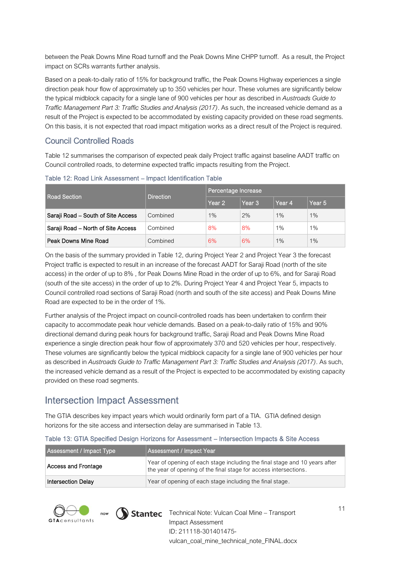between the Peak Downs Mine Road turnoff and the Peak Downs Mine CHPP turnoff. As a result, the Project impact on SCRs warrants further analysis.

Based on a peak-to-daily ratio of 15% for background traffic, the Peak Downs Highway experiences a single direction peak hour flow of approximately up to 350 vehicles per hour. These volumes are significantly below the typical midblock capacity for a single lane of 900 vehicles per hour as described in *Austroads Guide to Traffic Management Part 3: Traffic Studies and Analysis (2017)*. As such, the increased vehicle demand as a result of the Project is expected to be accommodated by existing capacity provided on these road segments. On this basis, it is not expected that road impact mitigation works as a direct result of the Project is required.

#### Council Controlled Roads

[Table 12](#page-11-0) summarises the comparison of expected peak daily Project traffic against baseline AADT traffic on Council controlled roads, to determine expected traffic impacts resulting from the Project.

|                                    |                  | Percentage Increase |                   |        |                   |  |
|------------------------------------|------------------|---------------------|-------------------|--------|-------------------|--|
| Road Section                       | <b>Direction</b> | Year 2              | Year <sub>3</sub> | Year 4 | Year <sub>5</sub> |  |
| Saraji Road – South of Site Access | Combined         | $1\%$               | 2%                | 1%     | 1%                |  |
| Saraji Road - North of Site Access | Combined         | 8%                  | 8%                | 1%     | 1%                |  |
| Peak Downs Mine Road               | Combined         | 6%                  | 6%                | 1%     | 1%                |  |

<span id="page-11-0"></span>Table 12: Road Link Assessment – Impact Identification Table

On the basis of the summary provided in [Table 12,](#page-11-0) during Project Year 2 and Project Year 3 the forecast Project traffic is expected to result in an increase of the forecast AADT for Saraji Road (north of the site access) in the order of up to 8% , for Peak Downs Mine Road in the order of up to 6%, and for Saraji Road (south of the site access) in the order of up to 2%. During Project Year 4 and Project Year 5, impacts to Council controlled road sections of Saraji Road (north and south of the site access) and Peak Downs Mine Road are expected to be in the order of 1%.

Further analysis of the Project impact on council-controlled roads has been undertaken to confirm their capacity to accommodate peak hour vehicle demands. Based on a peak-to-daily ratio of 15% and 90% directional demand during peak hours for background traffic, Saraji Road and Peak Downs Mine Road experience a single direction peak hour flow of approximately 370 and 520 vehicles per hour, respectively. These volumes are significantly below the typical midblock capacity for a single lane of 900 vehicles per hour as described in *Austroads Guide to Traffic Management Part 3: Traffic Studies and Analysis (2017)*. As such, the increased vehicle demand as a result of the Project is expected to be accommodated by existing capacity provided on these road segments.

## Intersection Impact Assessment

The GTIA describes key impact years which would ordinarily form part of a TIA. GTIA defined design horizons for the site access and intersection delay are summarised in [Table 13.](#page-11-1) 

| Assessment / Impact Type  | Assessment / Impact Year                                                                                                                       |
|---------------------------|------------------------------------------------------------------------------------------------------------------------------------------------|
| Access and Frontage       | Year of opening of each stage including the final stage and 10 years after<br>the year of opening of the final stage for access intersections. |
| <b>Intersection Delay</b> | Year of opening of each stage including the final stage.                                                                                       |

#### <span id="page-11-1"></span>Table 13: GTIA Specified Design Horizons for Assessment – Intersection Impacts & Site Access



now  $\qquad$  Stantec Technical Note: Vulcan Coal Mine – Transport Impact Assessment ID: 211118-301401475 vulcan\_coal\_mine\_technical\_note\_FINAL.docx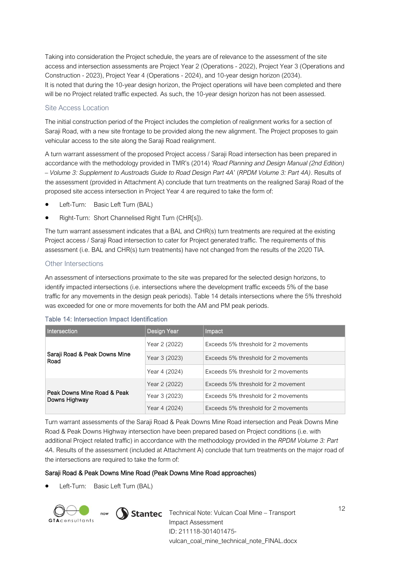Taking into consideration the Project schedule, the years are of relevance to the assessment of the site access and intersection assessments are Project Year 2 (Operations - 2022), Project Year 3 (Operations and Construction - 2023), Project Year 4 (Operations - 2024), and 10-year design horizon (2034). It is noted that during the 10-year design horizon, the Project operations will have been completed and there will be no Project related traffic expected. As such, the 10-year design horizon has not been assessed.

#### Site Access Location

The initial construction period of the Project includes the completion of realignment works for a section of Saraji Road, with a new site frontage to be provided along the new alignment. The Project proposes to gain vehicular access to the site along the Saraji Road realignment.

A turn warrant assessment of the proposed Project access / Saraji Road intersection has been prepared in accordance with the methodology provided in TMR's (2014) *'Road Planning and Design Manual (2nd Edition) – Volume 3: Supplement to Austroads Guide to Road Design Part 4A*' (*RPDM Volume 3: Part 4A)*. Results of the assessment (provided in Attachment A) conclude that turn treatments on the realigned Saraji Road of the proposed site access intersection in Project Year 4 are required to take the form of:

- Left-Turn: Basic Left Turn (BAL)
- Right-Turn: Short Channelised Right Turn (CHR[s]).

The turn warrant assessment indicates that a BAL and CHR(s) turn treatments are required at the existing Project access / Saraji Road intersection to cater for Project generated traffic. The requirements of this assessment (i.e. BAL and CHR(s) turn treatments) have not changed from the results of the 2020 TIA.

#### Other Intersections

An assessment of intersections proximate to the site was prepared for the selected design horizons, to identify impacted intersections (i.e. intersections where the development traffic exceeds 5% of the base traffic for any movements in the design peak periods). [Table 14](#page-12-0) details intersections where the 5% threshold was exceeded for one or more movements for both the AM and PM peak periods.

| Intersection                                 | Design Year   | Impact                               |  |
|----------------------------------------------|---------------|--------------------------------------|--|
|                                              | Year 2 (2022) | Exceeds 5% threshold for 2 movements |  |
| Saraji Road & Peak Downs Mine<br>Road        | Year 3 (2023) | Exceeds 5% threshold for 2 movements |  |
|                                              | Year 4 (2024) | Exceeds 5% threshold for 2 movements |  |
|                                              | Year 2 (2022) | Exceeds 5% threshold for 2 movement  |  |
| Peak Downs Mine Road & Peak<br>Downs Highway | Year 3 (2023) | Exceeds 5% threshold for 2 movements |  |
|                                              | Year 4 (2024) | Exceeds 5% threshold for 2 movements |  |

#### <span id="page-12-0"></span>Table 14: Intersection Impact Identification

Turn warrant assessments of the Saraji Road & Peak Downs Mine Road intersection and Peak Downs Mine Road & Peak Downs Highway intersection have been prepared based on Project conditions (i.e. with additional Project related traffic) in accordance with the methodology provided in the *RPDM Volume 3: Part 4A*. Results of the assessment (included at Attachment A) conclude that turn treatments on the major road of the intersections are required to take the form of:

#### Saraji Road & Peak Downs Mine Road (Peak Downs Mine Road approaches)

• Left-Turn: Basic Left Turn (BAL)

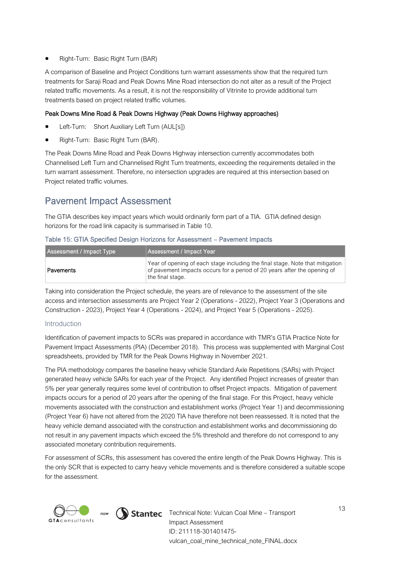• Right-Turn: Basic Right Turn (BAR)

A comparison of Baseline and Project Conditions turn warrant assessments show that the required turn treatments for Saraji Road and Peak Downs Mine Road intersection do not alter as a result of the Project related traffic movements. As a result, it is not the responsibility of Vitrinite to provide additional turn treatments based on project related traffic volumes.

#### Peak Downs Mine Road & Peak Downs Highway (Peak Downs Highway approaches)

- Left-Turn: Short Auxiliary Left Turn (AUL[s])
- Right-Turn: Basic Right Turn (BAR).

The Peak Downs Mine Road and Peak Downs Highway intersection currently accommodates both Channelised Left Turn and Channelised Right Turn treatments, exceeding the requirements detailed in the turn warrant assessment. Therefore, no intersection upgrades are required at this intersection based on Project related traffic volumes.

## Pavement Impact Assessment

The GTIA describes key impact years which would ordinarily form part of a TIA. GTIA defined design horizons for the road link capacity is summarised in [Table 10.](#page-9-1)

|  |  |  |  | Table 15: GTIA Specified Design Horizons for Assessment - Pavement Impacts |
|--|--|--|--|----------------------------------------------------------------------------|
|--|--|--|--|----------------------------------------------------------------------------|

| Assessment / Impact Type | Assessment / Impact Year                                                                                                                                                        |
|--------------------------|---------------------------------------------------------------------------------------------------------------------------------------------------------------------------------|
| Pavements                | Year of opening of each stage including the final stage. Note that mitigation  <br>of pavement impacts occurs for a period of 20 years after the opening of<br>the final stage. |

Taking into consideration the Project schedule, the years are of relevance to the assessment of the site access and intersection assessments are Project Year 2 (Operations - 2022), Project Year 3 (Operations and Construction - 2023), Project Year 4 (Operations - 2024), and Project Year 5 (Operations - 2025).

#### Introduction

Identification of pavement impacts to SCRs was prepared in accordance with TMR's GTIA Practice Note for Pavement Impact Assessments (PIA) (December 2018). This process was supplemented with Marginal Cost spreadsheets, provided by TMR for the Peak Downs Highway in November 2021.

The PIA methodology compares the baseline heavy vehicle Standard Axle Repetitions (SARs) with Project generated heavy vehicle SARs for each year of the Project. Any identified Project increases of greater than 5% per year generally requires some level of contribution to offset Project impacts. Mitigation of pavement impacts occurs for a period of 20 years after the opening of the final stage. For this Project, heavy vehicle movements associated with the construction and establishment works (Project Year 1) and decommissioning (Project Year 6) have not altered from the 2020 TIA have therefore not been reassessed. It is noted that the heavy vehicle demand associated with the construction and establishment works and decommissioning do not result in any pavement impacts which exceed the 5% threshold and therefore do not correspond to any associated monetary contribution requirements.

For assessment of SCRs, this assessment has covered the entire length of the Peak Downs Highway. This is the only SCR that is expected to carry heavy vehicle movements and is therefore considered a suitable scope for the assessment.





now **Stantec** Technical Note: Vulcan Coal Mine – Transport Impact Assessment ID: 211118-301401475 vulcan\_coal\_mine\_technical\_note\_FINAL.docx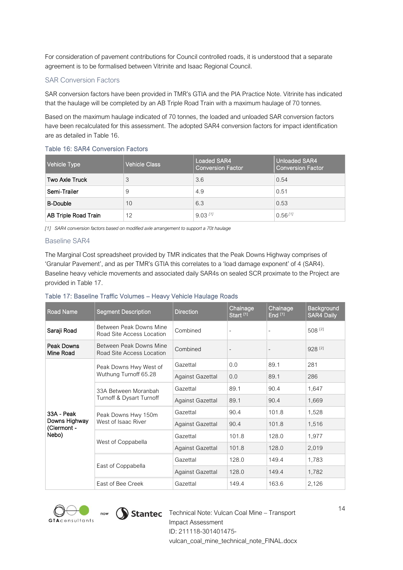For consideration of pavement contributions for Council controlled roads, it is understood that a separate agreement is to be formalised between Vitrinite and Isaac Regional Council.

#### SAR Conversion Factors

SAR conversion factors have been provided in TMR's GTIA and the PIA Practice Note. Vitrinite has indicated that the haulage will be completed by an AB Triple Road Train with a maximum haulage of 70 tonnes.

Based on the maximum haulage indicated of 70 tonnes, the loaded and unloaded SAR conversion factors have been recalculated for this assessment. The adopted SAR4 conversion factors for impact identification are as detailed in [Table 16.](#page-14-0)

#### <span id="page-14-0"></span>Table 16: SAR4 Conversion Factors

| Vehicle Type         | <b>Vehicle Class</b> | Loaded SAR4<br><b>Conversion Factor</b> | Unloaded SAR4<br>Conversion Factor |
|----------------------|----------------------|-----------------------------------------|------------------------------------|
| Two Axle Truck       | 3                    | 3.6                                     | 0.54                               |
| Semi-Trailer         | 9                    | 4.9                                     | 0.51                               |
| <b>B-Double</b>      | 10                   | 6.3                                     | 0.53                               |
| AB Triple Road Train | 12                   | $9.03$ [1]                              | $0.56$ [1]                         |

*[1] SAR4 conversion factors based on modified axle arrangement to support a 70t haulage*

#### Baseline SAR4

The Marginal Cost spreadsheet provided by TMR indicates that the Peak Downs Highway comprises of 'Granular Pavement', and as per TMR's GTIA this correlates to a 'load damage exponent' of 4 (SAR4). Baseline heavy vehicle movements and associated daily SAR4s on sealed SCR proximate to the Project are provided in [Table 17.](#page-14-1)

#### <span id="page-14-1"></span>Table 17: Baseline Traffic Volumes – Heavy Vehicle Haulage Roads

| <b>Road Name</b>             | <b>Segment Description</b>                           | <b>Direction</b>        | Chainage<br>Start <sup>[1]</sup> | Chainage<br>End [1] | <b>Background</b><br><b>SAR4 Daily</b> |
|------------------------------|------------------------------------------------------|-------------------------|----------------------------------|---------------------|----------------------------------------|
| Saraji Road                  | Between Peak Downs Mine<br>Road Site Access Location | Combined                | $\overline{\phantom{a}}$         |                     | 508 [2]                                |
| Peak Downs<br>Mine Road      | Between Peak Downs Mine<br>Road Site Access Location | Combined                | $\overline{\phantom{a}}$         |                     | 928 [2]                                |
|                              | Peak Downs Hwy West of                               | Gazettal                | 0.0                              | 89.1                | 281                                    |
|                              | Wuthung Turnoff 65.28                                | <b>Against Gazettal</b> | 0.0                              | 89.1                | 286                                    |
|                              | 33A Between Moranbah                                 | Gazettal                | 89.1                             | 90.4                | 1,647                                  |
|                              | Turnoff & Dysart Turnoff                             | <b>Against Gazettal</b> | 89.1                             | 90.4                | 1,669                                  |
| 33A - Peak                   | Peak Downs Hwy 150m                                  | Gazettal                | 90.4                             | 101.8               | 1,528                                  |
| Downs Highway<br>(Clermont - | West of Isaac River                                  | <b>Against Gazettal</b> | 90.4                             | 101.8               | 1,516                                  |
| Nebo)                        | West of Coppabella                                   | Gazettal                | 101.8                            | 128.0               | 1,977                                  |
|                              |                                                      | <b>Against Gazettal</b> | 101.8                            | 128.0               | 2,019                                  |
|                              |                                                      | Gazettal                | 128.0                            | 149.4               | 1,783                                  |
|                              | East of Coppabella                                   | <b>Against Gazettal</b> | 128.0                            | 149.4               | 1,782                                  |
|                              | East of Bee Creek                                    | Gazettal                | 149.4                            | 163.6               | 2,126                                  |





now  $\bigcirc$  Stantec Technical Note: Vulcan Coal Mine – Transport Impact Assessment ID: 211118-301401475 vulcan\_coal\_mine\_technical\_note\_FINAL.docx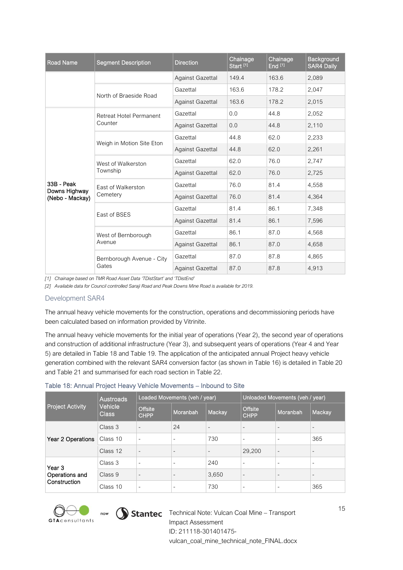| <b>Road Name</b>            | <b>Segment Description</b>     | <b>Direction</b>        | Chainage<br>Start <sup>[1]</sup> | Chainage<br>End <sup>[1]</sup> | Background<br><b>SAR4 Daily</b> |
|-----------------------------|--------------------------------|-------------------------|----------------------------------|--------------------------------|---------------------------------|
|                             |                                | <b>Against Gazettal</b> | 149.4                            | 163.6                          | 2,089                           |
|                             | North of Braeside Road         | Gazettal                | 163.6                            | 178.2                          | 2,047                           |
|                             |                                | <b>Against Gazettal</b> | 163.6                            | 178.2                          | 2,015                           |
|                             | <b>Retreat Hotel Permanent</b> | Gazettal                | 0.0                              | 44.8                           | 2,052                           |
|                             | Counter                        | <b>Against Gazettal</b> | 0.0                              | 44.8                           | 2,110                           |
|                             |                                | Gazettal                | 44.8                             | 62.0                           | 2,233                           |
|                             | Weigh in Motion Site Eton      | <b>Against Gazettal</b> | 44.8                             | 62.0                           | 2,261                           |
|                             | West of Walkerston             | Gazettal                | 62.0                             | 76.0                           | 2,747                           |
|                             | Township                       | <b>Against Gazettal</b> | 62.0                             | 76.0                           | 2,725                           |
| 33B - Peak<br>Downs Highway | East of Walkerston             | Gazettal                | 76.0                             | 81.4                           | 4,558                           |
| (Nebo - Mackay)             | Cemetery                       | <b>Against Gazettal</b> | 76.0                             | 81.4                           | 4.364                           |
|                             | East of BSES                   | Gazettal                | 81.4                             | 86.1                           | 7,348                           |
|                             |                                | <b>Against Gazettal</b> | 81.4                             | 86.1                           | 7,596                           |
|                             | West of Bernborough            | Gazettal                | 86.1                             | 87.0                           | 4,568                           |
|                             | Avenue                         | <b>Against Gazettal</b> | 86.1                             | 87.0                           | 4,658                           |
|                             | Bernborough Avenue - City      | Gazettal                | 87.0                             | 87.8                           | 4.865                           |
|                             | Gates                          | <b>Against Gazettal</b> | 87.0                             | 87.8                           | 4,913                           |

*[1] Chainage based on TMR Road Asset Data 'TDistStart' and 'TDistEnd'*

*[2] Available data for Council controlled Saraji Road and Peak Downs Mine Road is available for 2019.* 

#### Development SAR4

The annual heavy vehicle movements for the construction, operations and decommissioning periods have been calculated based on information provided by Vitrinite.

The annual heavy vehicle movements for the initial year of operations (Year 2), the second year of operations and construction of additional infrastructure (Year 3), and subsequent years of operations (Year 4 and Year 5) are detailed in [Table 18](#page-15-0) and [Table 19.](#page-16-0) The application of the anticipated annual Project heavy vehicle generation combined with the relevant SAR4 conversion factor (as shown in [Table 16\)](#page-14-0) is detailed in [Table 20](#page-16-1) and [Table 21](#page-16-2) and summarised for each road section in [Table 22.](#page-17-0)

#### <span id="page-15-0"></span>Table 18: Annual Project Heavy Vehicle Movements – Inbound to Site

|                         | <b>Austroads</b><br>Vehicle<br><b>Class</b> | Loaded Movements (veh / year) |                          |                          | Unloaded Movements (veh / year) |                          |                          |
|-------------------------|---------------------------------------------|-------------------------------|--------------------------|--------------------------|---------------------------------|--------------------------|--------------------------|
| <b>Project Activity</b> |                                             | <b>Offsite</b><br><b>CHPP</b> | Moranbah                 | Mackay                   | <b>Offsite</b><br><b>CHPP</b>   | Moranbah                 | Mackay                   |
|                         | Class 3                                     | $\overline{\phantom{0}}$      | 24                       | $\qquad \qquad$          | $\overline{\phantom{a}}$        | $\qquad \qquad$          | $\overline{\phantom{0}}$ |
| Year 2 Operations       | Class 10                                    | ÷                             | ۰                        | 730                      | $\overline{\phantom{a}}$        | ۰                        | 365                      |
|                         | Class 12                                    | $\overline{\phantom{0}}$      | $\overline{\phantom{a}}$ | $\overline{\phantom{a}}$ | 29,200                          | $\overline{\phantom{a}}$ | $\overline{\phantom{0}}$ |
| Year <sub>3</sub>       | Class 3                                     | $\overline{\phantom{a}}$      | ۰                        | 240                      | $\overline{\phantom{a}}$        | ۰                        | ۰                        |
| Operations and          | Class 9                                     | $\overline{\phantom{a}}$      | $\overline{\phantom{a}}$ | 3,650                    | $\overline{\phantom{a}}$        | $\overline{\phantom{a}}$ | $\overline{\phantom{0}}$ |
| Construction            | Class 10                                    | $\overline{\phantom{a}}$      | -                        | 730                      | $\overline{\phantom{0}}$        |                          | 365                      |





 $\bullet$  now  $\bigcirc$  Stantec Technical Note: Vulcan Coal Mine – Transport Impact Assessment ID: 211118-301401475 vulcan\_coal\_mine\_technical\_note\_FINAL.docx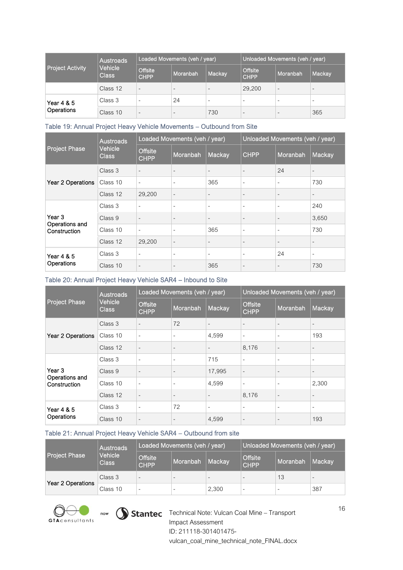| Project Activity'        | Austroads<br>Vehicle<br><b>Class</b> | Loaded Movements (veh / year) |                          |                          | Unloaded Movements (veh / year) |                          |                          |
|--------------------------|--------------------------------------|-------------------------------|--------------------------|--------------------------|---------------------------------|--------------------------|--------------------------|
|                          |                                      | <b>Offsite</b><br><b>CHPP</b> | Moranbah                 | Mackay                   | Offsite<br><b>CHPP</b>          | Moranbah                 | Mackay                   |
|                          | Class 12                             | $\overline{\phantom{a}}$      | $\overline{\phantom{0}}$ | $\overline{\phantom{a}}$ | 29,200                          | $\overline{\phantom{0}}$ | $\overline{\phantom{a}}$ |
| Year 4 & 5<br>Operations | Class 3                              | -                             | 24                       |                          | -                               |                          |                          |
|                          | Class 10                             | $\overline{\phantom{a}}$      | $\overline{\phantom{0}}$ | 730                      | $\overline{\phantom{0}}$        | $\overline{\phantom{a}}$ | 365                      |

#### <span id="page-16-0"></span>Table 19: Annual Project Heavy Vehicle Movements – Outbound from Site

|                                | <b>Austroads</b><br>Vehicle<br><b>Class</b> | Loaded Movements (veh / year) |                          |                          | Unloaded Movements (veh / year) |                          |                          |
|--------------------------------|---------------------------------------------|-------------------------------|--------------------------|--------------------------|---------------------------------|--------------------------|--------------------------|
| <b>Project Phase</b>           |                                             | <b>Offsite</b><br><b>CHPP</b> | Moranbah                 | Mackay                   | <b>CHPP</b>                     | Moranbah                 | Mackay                   |
|                                | Class 3                                     | $\blacksquare$                | $\overline{\phantom{a}}$ | $\overline{\phantom{a}}$ | $\overline{\phantom{a}}$        | 24                       | $\overline{\phantom{a}}$ |
| Year 2 Operations              | Class 10                                    | ۰                             | $\overline{\phantom{a}}$ | 365                      | ٠                               | $\overline{\phantom{a}}$ | 730                      |
|                                | Class 12                                    | 29,200                        | $\overline{\phantom{a}}$ | $\overline{\phantom{a}}$ | $\overline{\phantom{a}}$        | $\overline{\phantom{a}}$ | $\overline{\phantom{a}}$ |
|                                | Class 3                                     | ٠                             | $\overline{\phantom{a}}$ | $\overline{\phantom{m}}$ | $\qquad \qquad -$               | $\overline{\phantom{a}}$ | 240                      |
| Year 3                         | Class 9                                     | $\overline{\phantom{a}}$      | $\overline{\phantom{a}}$ | $\overline{\phantom{a}}$ | $\overline{\phantom{0}}$        | ٠                        | 3,650                    |
| Operations and<br>Construction | Class 10                                    | $\overline{\phantom{m}}$      | $\overline{\phantom{a}}$ | 365                      | ۰                               | $\sim$                   | 730                      |
|                                | Class 12                                    | 29,200                        | $\overline{\phantom{a}}$ | $\overline{\phantom{a}}$ | -                               | ٠                        | $\overline{\phantom{a}}$ |
| Year 4 & 5<br>Operations       | Class 3                                     | $\overline{\phantom{m}}$      | $\overline{\phantom{a}}$ | ۰                        | $\qquad \qquad -$               | 24                       | ۰                        |
|                                | Class 10                                    | $\blacksquare$                | $\overline{\phantom{a}}$ | 365                      | $\overline{\phantom{0}}$        | ٠                        | 730                      |

#### <span id="page-16-1"></span>Table 20: Annual Project Heavy Vehicle SAR4 – Inbound to Site

|                                | <b>Austroads</b>        |                               | Loaded Movements (veh / year) |                          | Unloaded Movements (veh / year) |                          |                          |
|--------------------------------|-------------------------|-------------------------------|-------------------------------|--------------------------|---------------------------------|--------------------------|--------------------------|
| <b>Project Phase</b>           | Vehicle<br><b>Class</b> | <b>Offsite</b><br><b>CHPP</b> | Moranbah                      | Mackay                   | <b>Offsite</b><br><b>CHPP</b>   | Moranbah                 | Mackay                   |
|                                | Class 3                 | $\overline{\phantom{a}}$      | 72                            | $\overline{\phantom{a}}$ | $\overline{\phantom{0}}$        | $\overline{\phantom{a}}$ |                          |
| Year 2 Operations              | Class 10                | ۰                             | $\overline{\phantom{a}}$      | 4,599                    | ۰                               | $\overline{\phantom{a}}$ | 193                      |
|                                | Class 12                | $\overline{\phantom{a}}$      | $\overline{\phantom{a}}$      | $\overline{\phantom{a}}$ | 8,176                           | $\overline{\phantom{a}}$ | $\overline{\phantom{a}}$ |
|                                | Class 3                 | ÷.                            | $\overline{\phantom{a}}$      | 715                      | ä,                              | $\overline{\phantom{a}}$ |                          |
| Year 3                         | Class 9                 | $\blacksquare$                | $\overline{\phantom{a}}$      | 17,995                   | $\overline{\phantom{a}}$        | $\overline{\phantom{a}}$ | $\overline{\phantom{a}}$ |
| Operations and<br>Construction | Class 10                | $\overline{\phantom{a}}$      | $\overline{\phantom{a}}$      | 4,599                    | $\overline{a}$                  | $\overline{\phantom{a}}$ | 2,300                    |
|                                | Class 12                | $\overline{\phantom{0}}$      | $\overline{\phantom{a}}$      |                          | 8,176                           | $\overline{\phantom{a}}$ |                          |
| Year 4 & 5<br>Operations       | Class 3                 | ۰                             | 72                            | $\overline{\phantom{a}}$ | ٠                               | $\overline{\phantom{a}}$ |                          |
|                                | Class 10                | $\overline{\phantom{a}}$      | $\overline{\phantom{a}}$      | 4,599                    | $\overline{a}$                  | $\overline{\phantom{a}}$ | 193                      |

#### <span id="page-16-2"></span>Table 21: Annual Project Heavy Vehicle SAR4 – Outbound from site

|                      | Austroads               | Loaded Movements (veh / year) |                          |                          | Unloaded Movements (veh / year) |          |        |
|----------------------|-------------------------|-------------------------------|--------------------------|--------------------------|---------------------------------|----------|--------|
| <b>Project Phase</b> | Vehicle<br><b>Class</b> | Offsite<br><b>CHPP</b>        | Moranbah                 | Mackav                   | <b>Offsite</b><br><b>CHPP</b>   | Moranbah | Mackav |
| Year 2 Operations    | Class 3                 | $\overline{\phantom{a}}$      | $\overline{\phantom{a}}$ | $\overline{\phantom{0}}$ | -                               | 13       |        |
|                      | Class 10                |                               |                          | 2,300                    | $\overline{\phantom{a}}$        |          | 387    |





Technical Note: Vulcan Coal Mine – Transport Impact Assessment ID: 211118-301401475 vulcan\_coal\_mine\_technical\_note\_FINAL.docx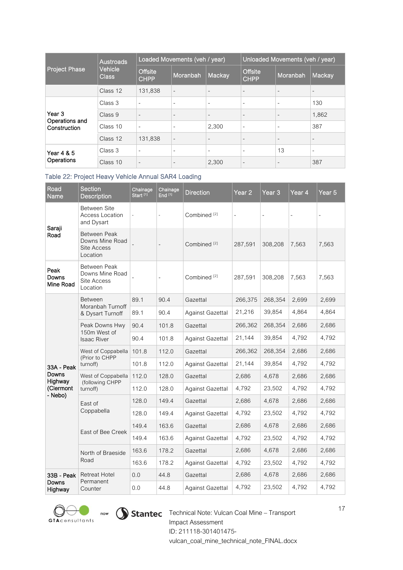|                                | <b>Austroads</b>        |                               | Loaded Movements (veh / year) |                          | Unloaded Movements (veh / year) |                          |                          |
|--------------------------------|-------------------------|-------------------------------|-------------------------------|--------------------------|---------------------------------|--------------------------|--------------------------|
| <b>Project Phase</b>           | Vehicle<br><b>Class</b> | <b>Offsite</b><br><b>CHPP</b> | Moranbah                      | Mackay                   | <b>Offsite</b><br><b>CHPP</b>   | Moranbah                 | Mackay                   |
|                                | Class 12                | 131,838                       | $\overline{\phantom{a}}$      | $\overline{\phantom{a}}$ | $\overline{\phantom{a}}$        | $\qquad \qquad$          |                          |
|                                | Class 3                 | ÷                             | ۰                             | $\overline{\phantom{a}}$ | ٠                               | ۰                        | 130                      |
| Year 3                         | Class 9                 | $\overline{\phantom{a}}$      | $\overline{\phantom{a}}$      | $\overline{\phantom{a}}$ | $\overline{\phantom{a}}$        | $\overline{\phantom{a}}$ | 1,862                    |
| Operations and<br>Construction | Class 10                | $\sim$                        | ۰                             | 2,300                    | ٠                               | $\overline{\phantom{a}}$ | 387                      |
|                                | Class 12                | 131,838                       | $\overline{\phantom{a}}$      | $\overline{\phantom{a}}$ | $\overline{\phantom{a}}$        | $\overline{\phantom{a}}$ | $\overline{\phantom{a}}$ |
| <b>Year 4 &amp; 5</b>          | Class 3                 | ٠                             | ۰                             | ٠                        | ٠                               | 13                       |                          |
| Operations                     | Class 10                | $\overline{\phantom{a}}$      | $\qquad \qquad$               | 2,300                    | ٠                               | $\overline{\phantom{a}}$ | 387                      |

#### <span id="page-17-0"></span>Table 22: Project Heavy Vehicle Annual SAR4 Loading

| Road<br>Name               | <b>Section</b><br><b>Description</b>                       | Chainage<br>Start <sup>[1]</sup> | Chainage<br>End $[1]$ | <b>Direction</b>        | Year <sub>2</sub>        | Year <sub>3</sub> | Year 4 | Year <sub>5</sub> |
|----------------------------|------------------------------------------------------------|----------------------------------|-----------------------|-------------------------|--------------------------|-------------------|--------|-------------------|
|                            | Between Site<br>Access Location<br>and Dysart              |                                  |                       | Combined <sup>[2]</sup> | $\overline{\phantom{0}}$ | ÷,                | ÷      | ÷                 |
| Saraji<br>Road             | Between Peak<br>Downs Mine Road<br>Site Access<br>Location |                                  |                       | Combined <sup>[2]</sup> | 287,591                  | 308,208           | 7,563  | 7,563             |
| Peak<br>Downs<br>Mine Road | Between Peak<br>Downs Mine Road<br>Site Access<br>Location |                                  |                       | Combined <sup>[2]</sup> | 287,591                  | 308,208           | 7,563  | 7,563             |
|                            | <b>Between</b>                                             | 89.1                             | 90.4                  | Gazettal                | 266,375                  | 268,354           | 2,699  | 2,699             |
|                            | Moranbah Turnoff<br>& Dysart Turnoff                       | 89.1                             | 90.4                  | <b>Against Gazettal</b> | 21,216                   | 39,854            | 4,864  | 4,864             |
|                            | Peak Downs Hwy<br>150m West of                             | 90.4                             | 101.8                 | Gazettal                | 266,362                  | 268,354           | 2,686  | 2,686             |
|                            | <b>Isaac River</b>                                         | 90.4                             | 101.8                 | Against Gazettal        | 21,144                   | 39,854            | 4,792  | 4,792             |
|                            | West of Coppabella<br>(Prior to CHPP                       | 101.8                            | 112.0                 | Gazettal                | 266,362                  | 268,354           | 2,686  | 2,686             |
| 33A - Peak                 | turnoff)                                                   | 101.8                            | 112.0                 | Against Gazettal        | 21,144                   | 39,854            | 4,792  | 4,792             |
| Downs<br>Highway           | West of Coppabella<br>(following CHPP                      | 112.0                            | 128.0                 | Gazettal                | 2,686                    | 4,678             | 2,686  | 2,686             |
| (Clermont<br>- Nebo)       | turnoff)                                                   | 112.0                            | 128.0                 | Against Gazettal        | 4,792                    | 23,502            | 4,792  | 4,792             |
|                            | East of                                                    | 128.0                            | 149.4                 | Gazettal                | 2,686                    | 4,678             | 2,686  | 2,686             |
|                            | Coppabella                                                 | 128.0                            | 149.4                 | Against Gazettal        | 4,792                    | 23,502            | 4,792  | 4,792             |
|                            | East of Bee Creek                                          | 149.4                            | 163.6                 | Gazettal                | 2,686                    | 4,678             | 2,686  | 2,686             |
|                            |                                                            | 149.4                            | 163.6                 | Against Gazettal        | 4,792                    | 23,502            | 4,792  | 4,792             |
|                            | North of Braeside                                          | 163.6                            | 178.2                 | Gazettal                | 2,686                    | 4,678             | 2,686  | 2,686             |
|                            | Road                                                       | 163.6                            | 178.2                 | <b>Against Gazettal</b> | 4,792                    | 23,502            | 4,792  | 4,792             |
| 33B - Peak                 | Retreat Hotel<br>Permanent                                 | 0.0                              | 44.8                  | Gazettal                | 2,686                    | 4,678             | 2,686  | 2,686             |
| Downs<br>Highway           | Counter                                                    | 0.0                              | 44.8                  | Against Gazettal        | 4,792                    | 23,502            | 4,792  | 4,792             |





Technical Note: Vulcan Coal Mine – Transport Impact Assessment ID: 211118-301401475 vulcan\_coal\_mine\_technical\_note\_FINAL.docx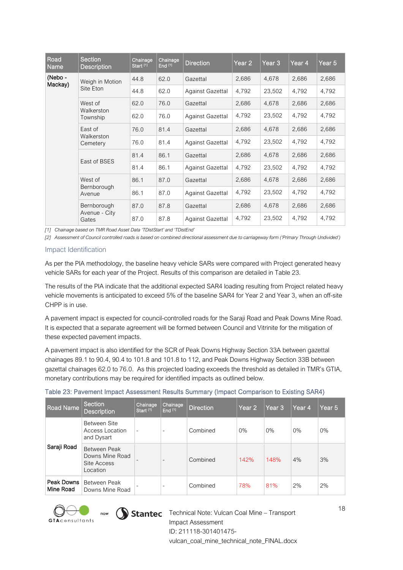| Road<br>Name       | Section<br><b>Description</b>     | Chainage<br>Start <sup>[1]</sup> | Chainage<br>End <sup>[1]</sup> | <b>Direction</b>        | Year <sub>2</sub> | Year 3 | Year 4 | Year 5 |
|--------------------|-----------------------------------|----------------------------------|--------------------------------|-------------------------|-------------------|--------|--------|--------|
| (Nebo -<br>Mackay) | Weigh in Motion                   | 44.8                             | 62.0                           | Gazettal                | 2,686             | 4,678  | 2,686  | 2,686  |
|                    | Site Eton                         | 44.8                             | 62.0                           | Against Gazettal        | 4,792             | 23,502 | 4,792  | 4,792  |
|                    | West of                           | 62.0                             | 76.0                           | Gazettal                | 2,686             | 4,678  | 2,686  | 2,686  |
|                    | Walkerston<br>Township            | 62.0                             | 76.0                           | Against Gazettal        | 4,792             | 23,502 | 4,792  | 4,792  |
|                    | East of<br>Walkerston<br>Cemetery | 76.0                             | 81.4                           | Gazettal                | 2,686             | 4,678  | 2,686  | 2,686  |
|                    |                                   | 76.0                             | 81.4                           | Against Gazettal        | 4,792             | 23,502 | 4,792  | 4,792  |
|                    | East of BSES                      | 81.4                             | 86.1                           | Gazettal                | 2,686             | 4,678  | 2,686  | 2,686  |
|                    |                                   | 81.4                             | 86.1                           | Against Gazettal        | 4,792             | 23,502 | 4,792  | 4,792  |
|                    | West of                           | 86.1                             | 87.0                           | Gazettal                | 2,686             | 4,678  | 2,686  | 2,686  |
|                    | Bernborough<br>Avenue             | 86.1                             | 87.0                           | <b>Against Gazettal</b> | 4,792             | 23,502 | 4,792  | 4,792  |
|                    | Bernborough                       | 87.0                             | 87.8                           | Gazettal                | 2,686             | 4,678  | 2,686  | 2,686  |
|                    | Avenue - City<br>Gates            | 87.0                             | 87.8                           | Against Gazettal        | 4,792             | 23,502 | 4,792  | 4,792  |

*[1] Chainage based on TMR Road Asset Data 'TDistStart' and 'TDistEnd'*

*[2] Assessment of Council controlled roads is based on combined directional assessment due to carriageway form ('Primary Through Undivided')*

#### Impact Identification

As per the PIA methodology, the baseline heavy vehicle SARs were compared with Project generated heavy vehicle SARs for each year of the Project. Results of this comparison are detailed in [Table 23.](#page-18-0)

The results of the PIA indicate that the additional expected SAR4 loading resulting from Project related heavy vehicle movements is anticipated to exceed 5% of the baseline SAR4 for Year 2 and Year 3, when an off-site CHPP is in use.

A pavement impact is expected for council-controlled roads for the Saraji Road and Peak Downs Mine Road. It is expected that a separate agreement will be formed between Council and Vitrinite for the mitigation of these expected pavement impacts.

A pavement impact is also identified for the SCR of Peak Downs Highway Section 33A between gazettal chainages 89.1 to 90.4, 90.4 to 101.8 and 101.8 to 112, and Peak Downs Highway Section 33B between gazettal chainages 62.0 to 76.0. As this projected loading exceeds the threshold as detailed in TMR's GTIA, monetary contributions may be required for identified impacts as outlined below.

<span id="page-18-0"></span>

| Table 23: Pavement Impact Assessment Results Summary (Impact Comparison to Existing SAR4) |  |
|-------------------------------------------------------------------------------------------|--|
|-------------------------------------------------------------------------------------------|--|

| Road Name               | Section<br><b>Description</b>                              | Chainage<br>Start <sup>[1]</sup> | Chainage<br>End <sup>[1]</sup> | Direction | Year <sub>2</sub> | Year <sub>3</sub> | Year 4 | Year <sub>5</sub> |
|-------------------------|------------------------------------------------------------|----------------------------------|--------------------------------|-----------|-------------------|-------------------|--------|-------------------|
|                         | Between Site<br>Access Location<br>and Dysart              | ٠                                | $\overline{\phantom{a}}$       | Combined  | $0\%$             | 0%                | 0%     | 0%                |
| Saraji Road             | Between Peak<br>Downs Mine Road<br>Site Access<br>Location |                                  | $\overline{\phantom{a}}$       | Combined  | 142%              | 148%              | 4%     | 3%                |
| Peak Downs<br>Mine Road | Between Peak<br>Downs Mine Road                            |                                  | ۰                              | Combined  | 78%               | 81%               | 2%     | 2%                |





now  $\bigcirc$  Stantec Technical Note: Vulcan Coal Mine – Transport Impact Assessment ID: 211118-301401475 vulcan\_coal\_mine\_technical\_note\_FINAL.docx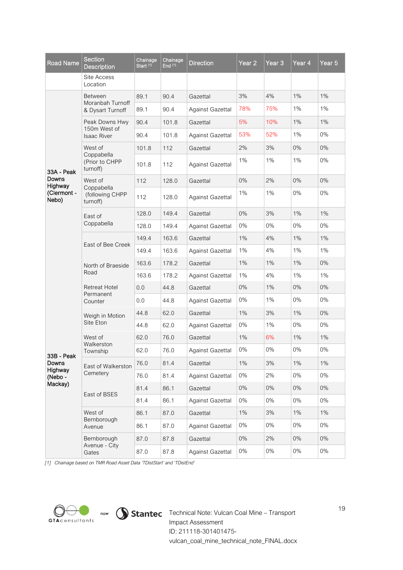| <b>Road Name</b>     | <b>Section</b><br><b>Description</b>      | Chainage<br>Start <sup>[1]</sup> | Chainage<br>End $[1]$ | <b>Direction</b>        | Year $\overline{2}$ | Year <sub>3</sub> | Year 4 | Year $5$ |
|----------------------|-------------------------------------------|----------------------------------|-----------------------|-------------------------|---------------------|-------------------|--------|----------|
|                      | Site Access<br>Location                   |                                  |                       |                         |                     |                   |        |          |
|                      | <b>Between</b>                            | 89.1                             | 90.4                  | Gazettal                | 3%                  | 4%                | $1\%$  | 1%       |
|                      | Moranbah Turnoff<br>& Dysart Turnoff      | 89.1                             | 90.4                  | Against Gazettal        | 78%                 | 75%               | 1%     | 1%       |
|                      | Peak Downs Hwy                            | 90.4                             | 101.8                 | Gazettal                | 5%                  | 10%               | $1\%$  | 1%       |
|                      | 150m West of<br><b>Isaac River</b>        | 90.4                             | 101.8                 | <b>Against Gazettal</b> | 53%                 | 52%               | 1%     | $0\%$    |
|                      | West of                                   | 101.8                            | 112                   | Gazettal                | 2%                  | 3%                | $0\%$  | 0%       |
| 33A - Peak           | Coppabella<br>(Prior to CHPP<br>turnoff)  | 101.8                            | 112                   | Against Gazettal        | 1%                  | 1%                | $1\%$  | 0%       |
| Downs<br>Highway     | West of                                   | 112                              | 128.0                 | Gazettal                | $0\%$               | 2%                | $0\%$  | 0%       |
| (Clermont -<br>Nebo) | Coppabella<br>(following CHPP<br>turnoff) | 112                              | 128.0                 | Against Gazettal        | 1%                  | 1%                | 0%     | 0%       |
|                      | East of                                   | 128.0                            | 149.4                 | Gazettal                | $0\%$               | 3%                | $1\%$  | 1%       |
|                      | Coppabella                                | 128.0                            | 149.4                 | Against Gazettal        | 0%                  | 0%                | 0%     | $0\%$    |
|                      | East of Bee Creek                         | 149.4                            | 163.6                 | Gazettal                | 1%                  | 4%                | $1\%$  | 1%       |
|                      |                                           | 149.4                            | 163.6                 | Against Gazettal        | 1%                  | 4%                | 1%     | $1\%$    |
|                      | North of Braeside<br>Road                 | 163.6                            | 178.2                 | Gazettal                | 1%                  | 1%                | 1%     | $0\%$    |
|                      |                                           | 163.6                            | 178.2                 | Against Gazettal        | 1%                  | 4%                | 1%     | $1\%$    |
|                      | <b>Retreat Hotel</b><br>Permanent         | 0.0                              | 44.8                  | Gazettal                | 0%                  | 1%                | 0%     | $0\%$    |
|                      | Counter                                   | 0.0                              | 44.8                  | Against Gazettal        | $0\%$               | 1%                | 0%     | 0%       |
|                      | Weigh in Motion                           | 44.8                             | 62.0                  | Gazettal                | $1\%$               | 3%                | $1\%$  | 0%       |
|                      | Site Eton                                 | 44.8                             | 62.0                  | <b>Against Gazettal</b> | $0\%$               | 1%                | 0%     | 0%       |
|                      | West of<br>Walkerston                     | 62.0                             | 76.0                  | Gazettal                | $1\%$               | 6%                | $1\%$  | $1\%$    |
| 33B - Peak           | Township                                  | 62.0                             | 76.0                  | Against Gazettal        | 0%                  | 0%                | $0\%$  | 0%       |
| Downs<br>Highway     | East of Walkerston                        | 76.0                             | 81.4                  | Gazettal                | $1\%$               | 3%                | $1\%$  | $1\%$    |
| (Nebo-               | Cemetery                                  | 76.0                             | 81.4                  | Against Gazettal        | 0%                  | 2%                | 0%     | 0%       |
| Mackay)              | East of BSES                              | 81.4                             | 86.1                  | Gazettal                | 0%                  | $0\%$             | 0%     | $0\%$    |
|                      |                                           | 81.4                             | 86.1                  | Against Gazettal        | 0%                  | 0%                | 0%     | 0%       |
|                      | West of<br>Bernborough                    | 86.1                             | 87.0                  | Gazettal                | $1\%$               | 3%                | 1%     | 1%       |
|                      | Avenue                                    | 86.1                             | 87.0                  | <b>Against Gazettal</b> | 0%                  | $0\%$             | 0%     | 0%       |
|                      | Bernborough<br>Avenue - City              | 87.0                             | 87.8                  | Gazettal                | 0%                  | 2%                | 0%     | $0\%$    |
|                      | Gates                                     | 87.0                             | 87.8                  | Against Gazettal        | 0%                  | $0\%$             | $0\%$  | $0\%$    |

*[1] Chainage based on TMR Road Asset Data 'TDistStart' and 'TDistEnd'*



Technical Note: Vulcan Coal Mine – Transport Impact Assessment ID: 211118-301401475 vulcan\_coal\_mine\_technical\_note\_FINAL.docx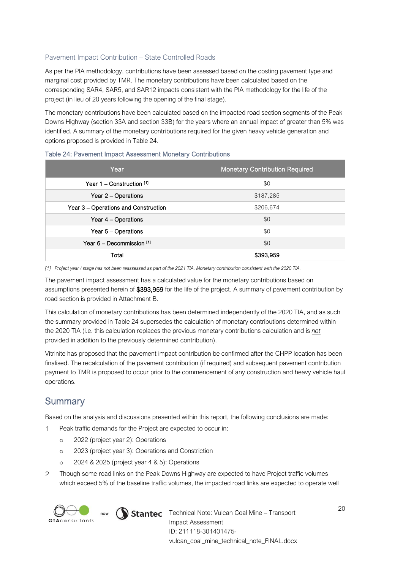#### Pavement Impact Contribution – State Controlled Roads

As per the PIA methodology, contributions have been assessed based on the costing pavement type and marginal cost provided by TMR. The monetary contributions have been calculated based on the corresponding SAR4, SAR5, and SAR12 impacts consistent with the PIA methodology for the life of the project (in lieu of 20 years following the opening of the final stage).

The monetary contributions have been calculated based on the impacted road section segments of the Peak Downs Highway (section 33A and section 33B) for the years where an annual impact of greater than 5% was identified. A summary of the monetary contributions required for the given heavy vehicle generation and options proposed is provided in [Table 24.](#page-20-0)

| Year                                 | <b>Monetary Contribution Required</b> |
|--------------------------------------|---------------------------------------|
| Year $1 -$ Construction $[1]$        | \$0                                   |
| Year 2 – Operations                  | \$187,285                             |
| Year 3 – Operations and Construction | \$206,674                             |
| Year 4 – Operations                  | \$0                                   |
| Year 5 – Operations                  | \$0                                   |
| Year $6 -$ Decommission $[1]$        | \$0                                   |
| Total                                | \$393,959                             |

#### <span id="page-20-0"></span>Table 24: Pavement Impact Assessment Monetary Contributions

*[1] Project year / stage has not been reassessed as part of the 2021 TIA. Monetary contribution consistent with the 2020 TIA.*

The pavement impact assessment has a calculated value for the monetary contributions based on assumptions presented herein of \$393,959 for the life of the project. A summary of pavement contribution by road section is provided in Attachment B.

This calculation of monetary contributions has been determined independently of the 2020 TIA, and as such the summary provided in [Table 24](#page-20-0) supersedes the calculation of monetary contributions determined within the 2020 TIA (i.e. this calculation replaces the previous monetary contributions calculation and is *not* provided in addition to the previously determined contribution).

Vitrinite has proposed that the pavement impact contribution be confirmed after the CHPP location has been finalised. The recalculation of the pavement contribution (if required) and subsequent pavement contribution payment to TMR is proposed to occur prior to the commencement of any construction and heavy vehicle haul operations.

## **Summary**

Based on the analysis and discussions presented within this report, the following conclusions are made:

- Peak traffic demands for the Project are expected to occur in:
	- o 2022 (project year 2): Operations
	- o 2023 (project year 3): Operations and Constriction
	- o 2024 & 2025 (project year 4 & 5): Operations
- Though some road links on the Peak Downs Highway are expected to have Project traffic volumes which exceed 5% of the baseline traffic volumes, the impacted road links are expected to operate well



 $T_{\text{row}}$   $\bigcirc$  Stantec Technical Note: Vulcan Coal Mine – Transport Impact Assessment ID: 211118-301401475 vulcan\_coal\_mine\_technical\_note\_FINAL.docx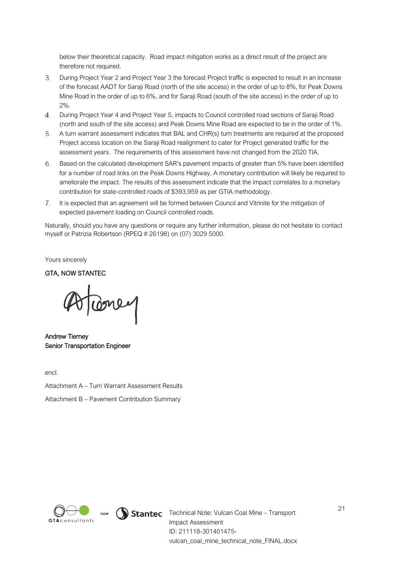below their theoretical capacity. Road impact mitigation works as a direct result of the project are therefore not required.

- During Project Year 2 and Project Year 3 the forecast Project traffic is expected to result in an increase 3. of the forecast AADT for Saraji Road (north of the site access) in the order of up to 8%, for Peak Downs Mine Road in the order of up to 6%, and for Saraji Road (south of the site access) in the order of up to  $20/2$
- During Project Year 4 and Project Year 5, impacts to Council controlled road sections of Saraji Road (north and south of the site access) and Peak Downs Mine Road are expected to be in the order of 1%.
- A turn warrant assessment indicates that BAL and CHR(s) turn treatments are required at the proposed Project access location on the Saraji Road realignment to cater for Project generated traffic for the assessment years. The requirements of this assessment have not changed from the 2020 TIA.
- Based on the calculated development SAR's pavement impacts of greater than 5% have been identified for a number of road links on the Peak Downs Highway. A monetary contribution will likely be required to ameliorate the impact. The results of this assessment indicate that the impact correlates to a monetary contribution for state-controlled roads of \$393,959 as per GTIA methodology.
- 7. It is expected that an agreement will be formed between Council and Vitrinite for the mitigation of expected pavement loading on Council controlled roads.

Naturally, should you have any questions or require any further information, please do not hesitate to contact myself or Patrizia Robertson (RPEQ # 26198) on (07) 3029 5000.

Yours sincerely

GTA, NOW STANTEC

Doney

Andrew Tierney Senior Transportation Engineer

encl.

Attachment A – Turn Warrant Assessment Results

Attachment B – Pavement Contribution Summary



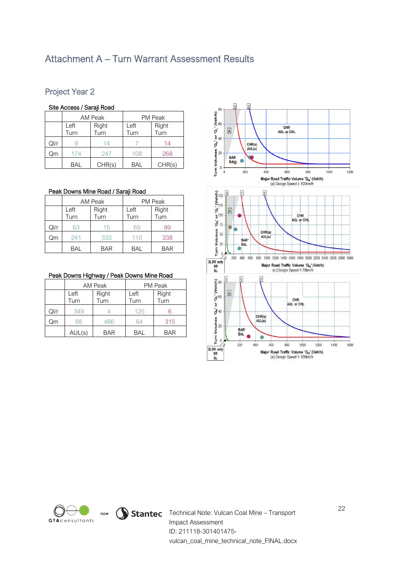## Attachment A – Turn Warrant Assessment Results

## Project Year 2

#### Site Access / Saraji Road

|      | Site Access / Saraji Road |                |                |               |  |  |  |  |
|------|---------------------------|----------------|----------------|---------------|--|--|--|--|
|      |                           | <b>AM Peak</b> | <b>PM Peak</b> |               |  |  |  |  |
|      | Left<br>Turn              | Right<br>Turn  |                | Right<br>Turn |  |  |  |  |
| QI/r |                           | 14             |                | 14            |  |  |  |  |
| Qm   | 174                       | 247            | 108            | 268           |  |  |  |  |
|      | BAL                       | CHR(s)         | BAL            | CHR(s)        |  |  |  |  |

#### Peak Downs Mine Road / Saraji Road

|      |              | AM Peak       | <b>PM Peak</b> |               |  |
|------|--------------|---------------|----------------|---------------|--|
|      | Left<br>Turn | Right<br>Turn | Left<br>Turn   | Right<br>Turn |  |
| Ql/r | 63           | 15            |                | 99            |  |
| Qm   | 241          | 333           | 110            | 338           |  |
|      | <b>BAL</b>   | <b>BAR</b>    | BAL            | <b>BAR</b>    |  |

#### Peak Downs Highway / Peak Downs Mine Road

|      |        | <b>AM Peak</b> | PM Peak    |            |  |
|------|--------|----------------|------------|------------|--|
|      | Left   | Right          | Left       | Right      |  |
|      | Turn   | Turn           | Turn       | Turn       |  |
| Ql/r | 349    |                | 125        |            |  |
| Qm   | 88     | 486            | 64         | 315        |  |
|      | AUL(s) | <b>BAR</b>     | <b>BAL</b> | <b>BAR</b> |  |





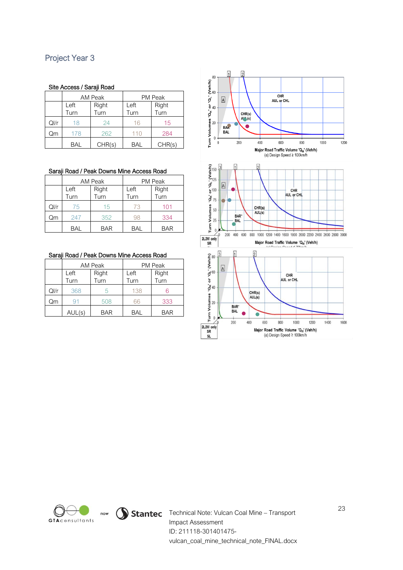## Project Year 3

#### Site Access / Saraji Road

| Site Access / Saraji Road |               |         |                |        |  |  |  |
|---------------------------|---------------|---------|----------------|--------|--|--|--|
|                           |               | AM Peak | <b>PM Peak</b> |        |  |  |  |
|                           | Right<br>Left |         | Left           | Right  |  |  |  |
|                           | Turn          | Turn    | Turn           | Turn   |  |  |  |
| QI/r                      | 18            | 24      | 16             | 15     |  |  |  |
| Qm                        | 178           | 262     | 110            | 284    |  |  |  |
|                           | BAL           | CHR(s)  | BAL            | CHR(s) |  |  |  |

#### Saraji Road / Peak Downs Mine Access Road

|      |                               | AM Peak    | <b>PM Peak</b> |               |  |
|------|-------------------------------|------------|----------------|---------------|--|
|      | Right<br>Left<br>Turn<br>Turn |            | Left<br>Turn   | Right<br>Turn |  |
| QI/r | 75                            | 15         | 73             | 101           |  |
| Qm   | 247                           | 352        | qя             | 334           |  |
|      | <b>BAL</b>                    | <b>BAR</b> | <b>BAL</b>     | <b>BAR</b>    |  |

|  |  |  | Saraji Road / Peak Downs Mine Access Road |
|--|--|--|-------------------------------------------|
|  |  |  |                                           |

|         |               | AM Peak    | <b>PM Peak</b> |            |  |
|---------|---------------|------------|----------------|------------|--|
|         | Right<br>Left |            | Left           | Right      |  |
|         | Turn          | Turn       | Turn           | Turn       |  |
| $Q$ l/r | 368           | 5          | 138            | 6          |  |
| Qm      | 91            | 508        | วิดิ           | 333        |  |
|         | AUL(s)        | <b>BAR</b> | <b>BAL</b>     | <b>BAR</b> |  |







now  $\bigcirc$  Stantec Technical Note: Vulcan Coal Mine – Transport Impact Assessment ID: 211118-301401475 vulcan\_coal\_mine\_technical\_note\_FINAL.docx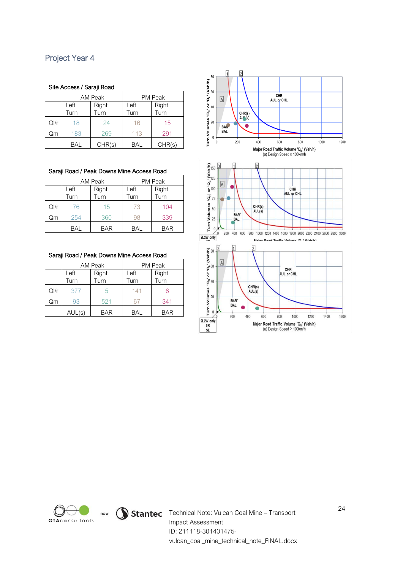## Project Year 4

#### Site Access / Saraji Road

| Site Access / Saraji Road |               |         |                |        |  |  |  |
|---------------------------|---------------|---------|----------------|--------|--|--|--|
|                           |               | AM Peak | <b>PM Peak</b> |        |  |  |  |
|                           | Right<br>Left |         | Left           | Right  |  |  |  |
|                           | Turn          | Turn    | Turn           | Turn   |  |  |  |
| QI/r                      | 18            | 24      | 16             | 15     |  |  |  |
| Qm                        | 183           | 269     | 113            | 291    |  |  |  |
|                           | BAL           | CHR(s)  | BAL            | CHR(s) |  |  |  |

#### Saraji Road / Peak Downs Mine Access Road

|      |      | AM Peak    | PM Peak |            |  |
|------|------|------------|---------|------------|--|
|      | Left | Right      | Left    | Right      |  |
|      | Turn | Turn       | Turn    | Turn       |  |
| QI/r | 76   | 15         | 73      | 104        |  |
| Qm   | 254  | 360        | чх      | 339        |  |
|      | BAL  | <b>BAR</b> | BAL     | <b>BAR</b> |  |

|  |  |  | Saraji Road / Peak Downs Mine Access Road |
|--|--|--|-------------------------------------------|
|  |  |  |                                           |

|      |                               | AM Peak    | <b>PM Peak</b> |               |  |
|------|-------------------------------|------------|----------------|---------------|--|
|      | Right<br>Left<br>Turn<br>Turn |            | Left<br>Turn   | Right<br>Turn |  |
|      |                               |            |                |               |  |
| QI/r | 377                           | h          | 141            |               |  |
| Qm   | 93                            | 521        |                | 341           |  |
|      | AUL(s)                        | <b>BAR</b> | <b>BAL</b>     | <b>BAR</b>    |  |